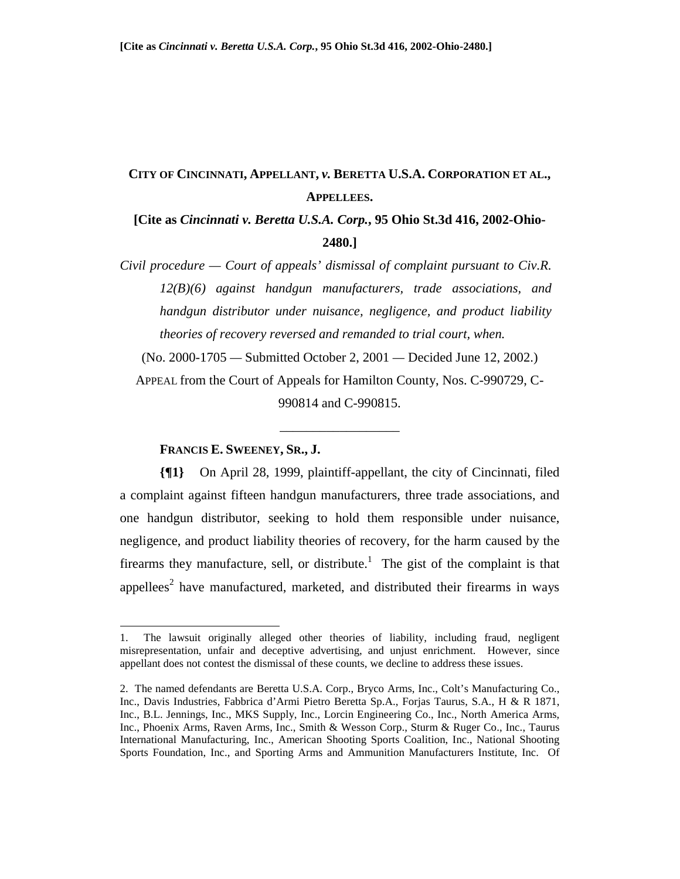# **CITY OF CINCINNATI, APPELLANT,** *v.* **BERETTA U.S.A. CORPORATION ET AL., APPELLEES.**

# **[Cite as** *Cincinnati v. Beretta U.S.A. Corp.***, 95 Ohio St.3d 416, 2002-Ohio-2480.]**

*Civil procedure — Court of appeals' dismissal of complaint pursuant to Civ.R. 12(B)(6) against handgun manufacturers, trade associations, and handgun distributor under nuisance, negligence, and product liability theories of recovery reversed and remanded to trial court, when.* 

(No. 2000-1705 *—* Submitted October 2, 2001 *—* Decided June 12, 2002.)

APPEAL from the Court of Appeals for Hamilton County, Nos. C-990729, C-990814 and C-990815.

\_\_\_\_\_\_\_\_\_\_\_\_\_\_\_\_\_\_

### **FRANCIS E. SWEENEY, SR., J.**

 $\overline{a}$ 

**{¶1}** On April 28, 1999, plaintiff-appellant, the city of Cincinnati, filed a complaint against fifteen handgun manufacturers, three trade associations, and one handgun distributor, seeking to hold them responsible under nuisance, negligence, and product liability theories of recovery, for the harm caused by the firearms they manufacture, sell, or distribute.<sup>1</sup> The gist of the complaint is that appellees<sup>2</sup> have manufactured, marketed, and distributed their firearms in ways

<sup>1.</sup> The lawsuit originally alleged other theories of liability, including fraud, negligent misrepresentation, unfair and deceptive advertising, and unjust enrichment. However, since appellant does not contest the dismissal of these counts, we decline to address these issues.

<sup>2.</sup> The named defendants are Beretta U.S.A. Corp., Bryco Arms, Inc., Colt's Manufacturing Co., Inc., Davis Industries, Fabbrica d'Armi Pietro Beretta Sp.A., Forjas Taurus, S.A., H & R 1871, Inc., B.L. Jennings, Inc., MKS Supply, Inc., Lorcin Engineering Co., Inc., North America Arms, Inc., Phoenix Arms, Raven Arms, Inc., Smith & Wesson Corp., Sturm & Ruger Co., Inc., Taurus International Manufacturing, Inc., American Shooting Sports Coalition, Inc., National Shooting Sports Foundation, Inc., and Sporting Arms and Ammunition Manufacturers Institute, Inc. Of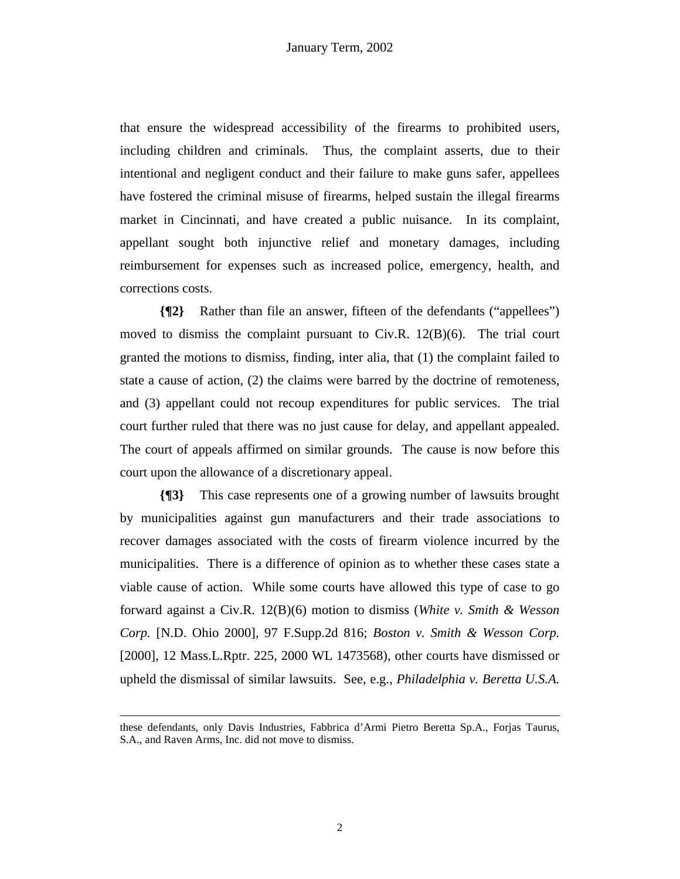that ensure the widespread accessibility of the firearms to prohibited users, including children and criminals. Thus, the complaint asserts, due to their intentional and negligent conduct and their failure to make guns safer, appellees have fostered the criminal misuse of firearms, helped sustain the illegal firearms market in Cincinnati, and have created a public nuisance. In its complaint, appellant sought both injunctive relief and monetary damages, including reimbursement for expenses such as increased police, emergency, health, and corrections costs.

**{¶2}** Rather than file an answer, fifteen of the defendants ("appellees") moved to dismiss the complaint pursuant to  $Civ.R. 12(B)(6)$ . The trial court granted the motions to dismiss, finding, inter alia, that (1) the complaint failed to state a cause of action, (2) the claims were barred by the doctrine of remoteness, and (3) appellant could not recoup expenditures for public services. The trial court further ruled that there was no just cause for delay, and appellant appealed. The court of appeals affirmed on similar grounds. The cause is now before this court upon the allowance of a discretionary appeal.

**{¶3}** This case represents one of a growing number of lawsuits brought by municipalities against gun manufacturers and their trade associations to recover damages associated with the costs of firearm violence incurred by the municipalities. There is a difference of opinion as to whether these cases state a viable cause of action. While some courts have allowed this type of case to go forward against a Civ.R. 12(B)(6) motion to dismiss (*White v. Smith & Wesson Corp.* [N.D. Ohio 2000], 97 F.Supp.2d 816; *Boston v. Smith & Wesson Corp.*  [2000], 12 Mass.L.Rptr. 225, 2000 WL 1473568), other courts have dismissed or upheld the dismissal of similar lawsuits. See, e.g., *Philadelphia v. Beretta U.S.A.* 

1

these defendants, only Davis Industries, Fabbrica d'Armi Pietro Beretta Sp.A., Forjas Taurus, S.A., and Raven Arms, Inc. did not move to dismiss.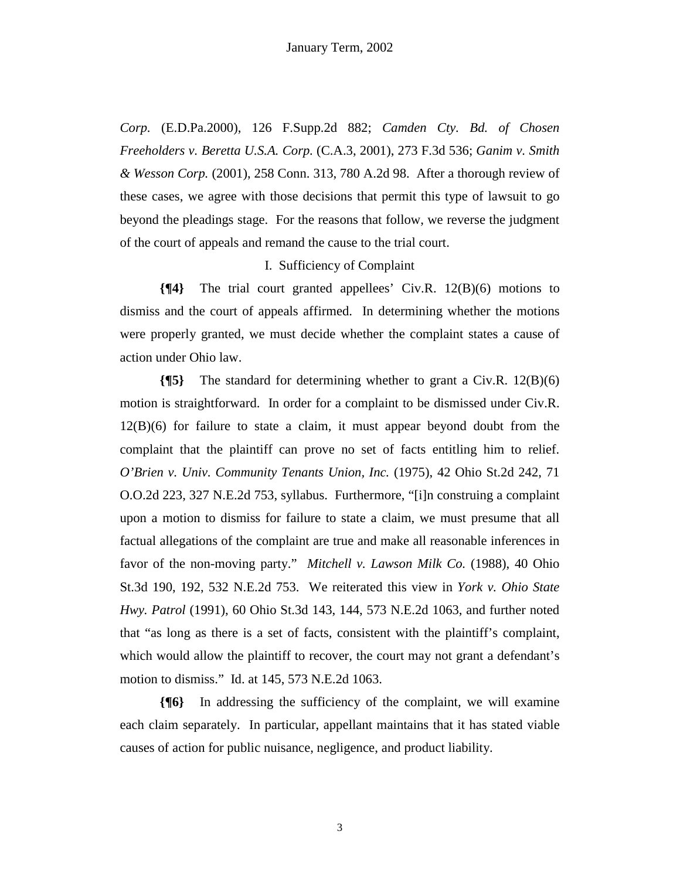*Corp.* (E.D.Pa.2000), 126 F.Supp.2d 882; *Camden Cty. Bd. of Chosen Freeholders v. Beretta U.S.A. Corp.* (C.A.3, 2001), 273 F.3d 536; *Ganim v. Smith & Wesson Corp.* (2001), 258 Conn. 313, 780 A.2d 98. After a thorough review of these cases, we agree with those decisions that permit this type of lawsuit to go beyond the pleadings stage. For the reasons that follow, we reverse the judgment of the court of appeals and remand the cause to the trial court.

# I. Sufficiency of Complaint

**{¶4}** The trial court granted appellees' Civ.R. 12(B)(6) motions to dismiss and the court of appeals affirmed. In determining whether the motions were properly granted, we must decide whether the complaint states a cause of action under Ohio law.

**{¶5}** The standard for determining whether to grant a Civ.R. 12(B)(6) motion is straightforward. In order for a complaint to be dismissed under Civ.R. 12(B)(6) for failure to state a claim, it must appear beyond doubt from the complaint that the plaintiff can prove no set of facts entitling him to relief. *O'Brien v. Univ. Community Tenants Union, Inc.* (1975), 42 Ohio St.2d 242, 71 O.O.2d 223, 327 N.E.2d 753, syllabus. Furthermore, "[i]n construing a complaint upon a motion to dismiss for failure to state a claim, we must presume that all factual allegations of the complaint are true and make all reasonable inferences in favor of the non-moving party." *Mitchell v. Lawson Milk Co.* (1988), 40 Ohio St.3d 190, 192, 532 N.E.2d 753. We reiterated this view in *York v. Ohio State Hwy. Patrol* (1991), 60 Ohio St.3d 143, 144, 573 N.E.2d 1063, and further noted that "as long as there is a set of facts, consistent with the plaintiff's complaint, which would allow the plaintiff to recover, the court may not grant a defendant's motion to dismiss." Id. at 145, 573 N.E.2d 1063.

**{¶6}** In addressing the sufficiency of the complaint, we will examine each claim separately. In particular, appellant maintains that it has stated viable causes of action for public nuisance, negligence, and product liability.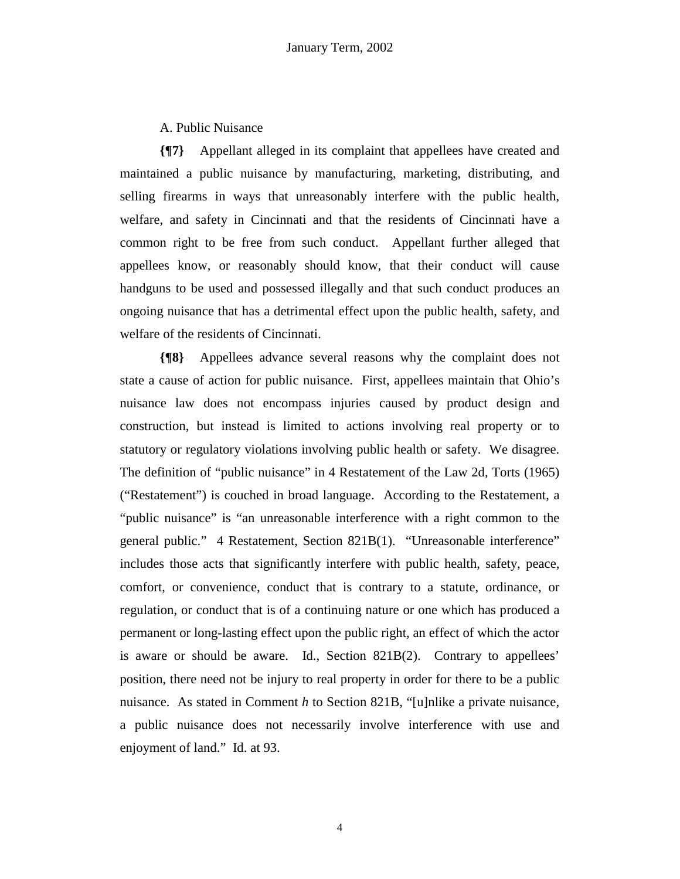A. Public Nuisance

**{¶7}** Appellant alleged in its complaint that appellees have created and maintained a public nuisance by manufacturing, marketing, distributing, and selling firearms in ways that unreasonably interfere with the public health, welfare, and safety in Cincinnati and that the residents of Cincinnati have a common right to be free from such conduct. Appellant further alleged that appellees know, or reasonably should know, that their conduct will cause handguns to be used and possessed illegally and that such conduct produces an ongoing nuisance that has a detrimental effect upon the public health, safety, and welfare of the residents of Cincinnati.

**{¶8}** Appellees advance several reasons why the complaint does not state a cause of action for public nuisance. First, appellees maintain that Ohio's nuisance law does not encompass injuries caused by product design and construction, but instead is limited to actions involving real property or to statutory or regulatory violations involving public health or safety. We disagree. The definition of "public nuisance" in 4 Restatement of the Law 2d, Torts (1965) ("Restatement") is couched in broad language. According to the Restatement, a "public nuisance" is "an unreasonable interference with a right common to the general public." 4 Restatement, Section 821B(1). "Unreasonable interference" includes those acts that significantly interfere with public health, safety, peace, comfort, or convenience, conduct that is contrary to a statute, ordinance, or regulation, or conduct that is of a continuing nature or one which has produced a permanent or long-lasting effect upon the public right, an effect of which the actor is aware or should be aware. Id., Section 821B(2). Contrary to appellees' position, there need not be injury to real property in order for there to be a public nuisance. As stated in Comment *h* to Section 821B, "[u]nlike a private nuisance, a public nuisance does not necessarily involve interference with use and enjoyment of land." Id. at 93.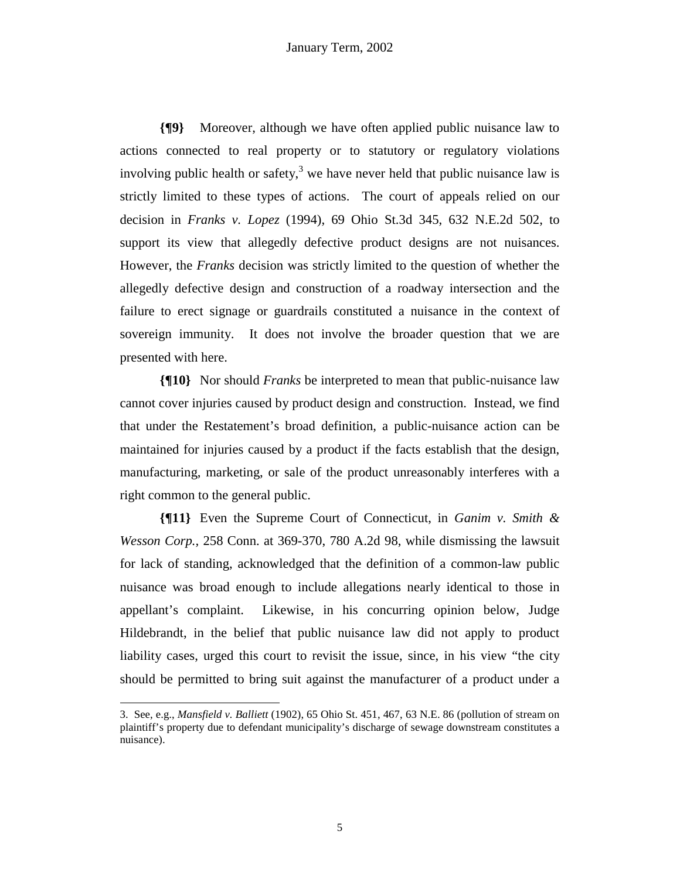**{¶9}** Moreover, although we have often applied public nuisance law to actions connected to real property or to statutory or regulatory violations involving public health or safety,<sup>3</sup> we have never held that public nuisance law is strictly limited to these types of actions. The court of appeals relied on our decision in *Franks v. Lopez* (1994), 69 Ohio St.3d 345, 632 N.E.2d 502, to support its view that allegedly defective product designs are not nuisances. However, the *Franks* decision was strictly limited to the question of whether the allegedly defective design and construction of a roadway intersection and the failure to erect signage or guardrails constituted a nuisance in the context of sovereign immunity. It does not involve the broader question that we are presented with here.

**{¶10}** Nor should *Franks* be interpreted to mean that public-nuisance law cannot cover injuries caused by product design and construction. Instead, we find that under the Restatement's broad definition, a public-nuisance action can be maintained for injuries caused by a product if the facts establish that the design, manufacturing, marketing, or sale of the product unreasonably interferes with a right common to the general public.

**{¶11}** Even the Supreme Court of Connecticut, in *Ganim v. Smith & Wesson Corp.,* 258 Conn. at 369-370, 780 A.2d 98, while dismissing the lawsuit for lack of standing, acknowledged that the definition of a common-law public nuisance was broad enough to include allegations nearly identical to those in appellant's complaint. Likewise, in his concurring opinion below, Judge Hildebrandt, in the belief that public nuisance law did not apply to product liability cases, urged this court to revisit the issue, since, in his view "the city should be permitted to bring suit against the manufacturer of a product under a

 $\overline{a}$ 

<sup>3.</sup> See, e.g., *Mansfield v. Balliett* (1902), 65 Ohio St. 451, 467, 63 N.E. 86 (pollution of stream on plaintiff's property due to defendant municipality's discharge of sewage downstream constitutes a nuisance).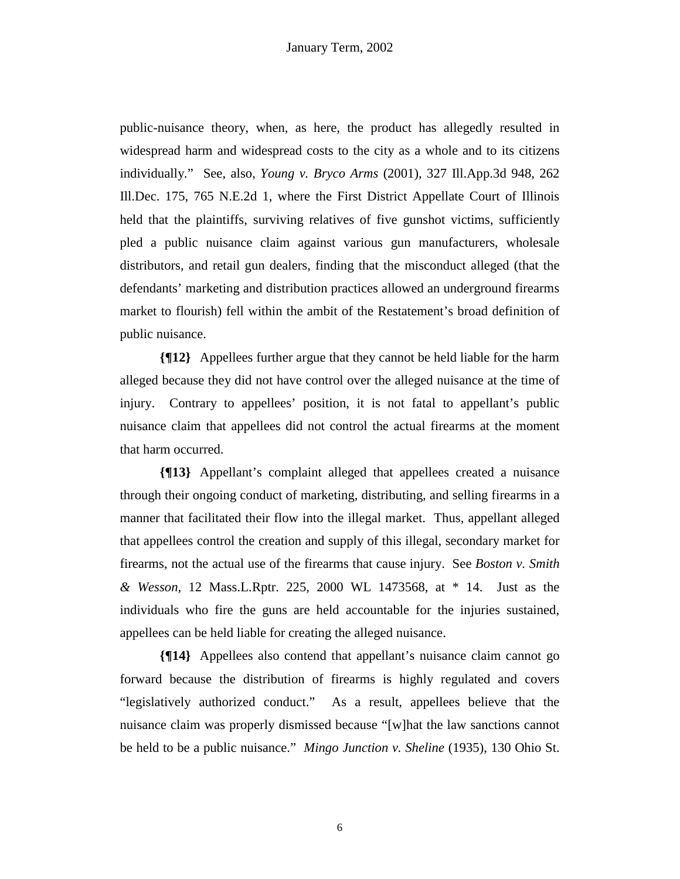public-nuisance theory, when, as here, the product has allegedly resulted in widespread harm and widespread costs to the city as a whole and to its citizens individually." See, also, *Young v. Bryco Arms* (2001), 327 Ill.App.3d 948, 262 Ill.Dec. 175, 765 N.E.2d 1, where the First District Appellate Court of Illinois held that the plaintiffs, surviving relatives of five gunshot victims, sufficiently pled a public nuisance claim against various gun manufacturers, wholesale distributors, and retail gun dealers, finding that the misconduct alleged (that the defendants' marketing and distribution practices allowed an underground firearms market to flourish) fell within the ambit of the Restatement's broad definition of public nuisance.

**{¶12}** Appellees further argue that they cannot be held liable for the harm alleged because they did not have control over the alleged nuisance at the time of injury. Contrary to appellees' position, it is not fatal to appellant's public nuisance claim that appellees did not control the actual firearms at the moment that harm occurred.

**{¶13}** Appellant's complaint alleged that appellees created a nuisance through their ongoing conduct of marketing, distributing, and selling firearms in a manner that facilitated their flow into the illegal market. Thus, appellant alleged that appellees control the creation and supply of this illegal, secondary market for firearms, not the actual use of the firearms that cause injury. See *Boston v. Smith & Wesson,* 12 Mass.L.Rptr. 225, 2000 WL 1473568, at \* 14. Just as the individuals who fire the guns are held accountable for the injuries sustained, appellees can be held liable for creating the alleged nuisance.

**{¶14}** Appellees also contend that appellant's nuisance claim cannot go forward because the distribution of firearms is highly regulated and covers "legislatively authorized conduct." As a result, appellees believe that the nuisance claim was properly dismissed because "[w]hat the law sanctions cannot be held to be a public nuisance." *Mingo Junction v. Sheline* (1935), 130 Ohio St.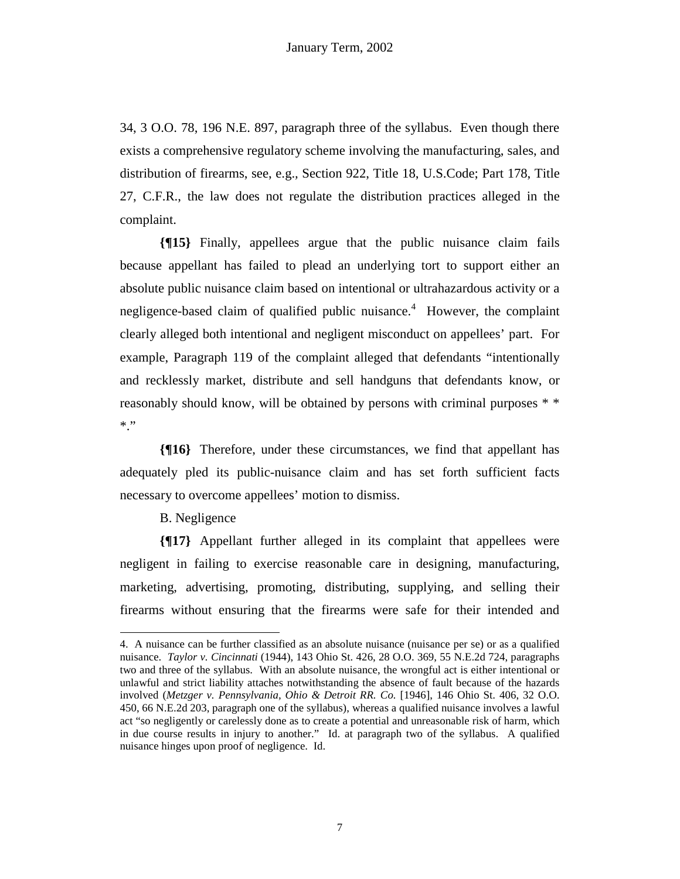34, 3 O.O. 78, 196 N.E. 897, paragraph three of the syllabus. Even though there exists a comprehensive regulatory scheme involving the manufacturing, sales, and distribution of firearms, see, e.g.*,* Section 922, Title 18, U.S.Code; Part 178, Title 27, C.F.R., the law does not regulate the distribution practices alleged in the complaint.

**{¶15}** Finally, appellees argue that the public nuisance claim fails because appellant has failed to plead an underlying tort to support either an absolute public nuisance claim based on intentional or ultrahazardous activity or a negligence-based claim of qualified public nuisance.<sup>4</sup> However, the complaint clearly alleged both intentional and negligent misconduct on appellees' part. For example, Paragraph 119 of the complaint alleged that defendants "intentionally and recklessly market, distribute and sell handguns that defendants know, or reasonably should know, will be obtained by persons with criminal purposes \* \*  $*$  "

**{¶16}** Therefore, under these circumstances, we find that appellant has adequately pled its public-nuisance claim and has set forth sufficient facts necessary to overcome appellees' motion to dismiss.

B. Negligence

1

**{¶17}** Appellant further alleged in its complaint that appellees were negligent in failing to exercise reasonable care in designing, manufacturing, marketing, advertising, promoting, distributing, supplying, and selling their firearms without ensuring that the firearms were safe for their intended and

<sup>4.</sup> A nuisance can be further classified as an absolute nuisance (nuisance per se) or as a qualified nuisance. *Taylor v. Cincinnati* (1944), 143 Ohio St. 426, 28 O.O. 369, 55 N.E.2d 724, paragraphs two and three of the syllabus. With an absolute nuisance, the wrongful act is either intentional or unlawful and strict liability attaches notwithstanding the absence of fault because of the hazards involved (*Metzger v. Pennsylvania, Ohio & Detroit RR. Co.* [1946], 146 Ohio St. 406, 32 O.O. 450, 66 N.E.2d 203, paragraph one of the syllabus), whereas a qualified nuisance involves a lawful act "so negligently or carelessly done as to create a potential and unreasonable risk of harm, which in due course results in injury to another." Id. at paragraph two of the syllabus. A qualified nuisance hinges upon proof of negligence. Id.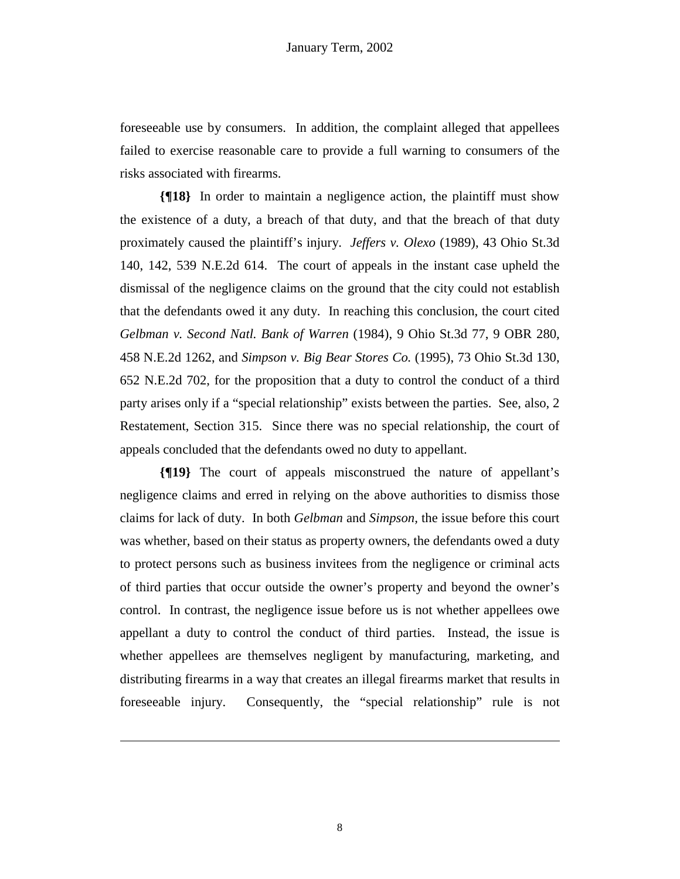foreseeable use by consumers. In addition, the complaint alleged that appellees failed to exercise reasonable care to provide a full warning to consumers of the risks associated with firearms.

**{¶18}** In order to maintain a negligence action, the plaintiff must show the existence of a duty, a breach of that duty, and that the breach of that duty proximately caused the plaintiff's injury. *Jeffers v. Olexo* (1989), 43 Ohio St.3d 140, 142, 539 N.E.2d 614. The court of appeals in the instant case upheld the dismissal of the negligence claims on the ground that the city could not establish that the defendants owed it any duty. In reaching this conclusion, the court cited *Gelbman v. Second Natl. Bank of Warren* (1984), 9 Ohio St.3d 77, 9 OBR 280, 458 N.E.2d 1262, and *Simpson v. Big Bear Stores Co.* (1995), 73 Ohio St.3d 130, 652 N.E.2d 702, for the proposition that a duty to control the conduct of a third party arises only if a "special relationship" exists between the parties. See, also, 2 Restatement, Section 315. Since there was no special relationship, the court of appeals concluded that the defendants owed no duty to appellant.

**{¶19}** The court of appeals misconstrued the nature of appellant's negligence claims and erred in relying on the above authorities to dismiss those claims for lack of duty. In both *Gelbman* and *Simpson,* the issue before this court was whether, based on their status as property owners, the defendants owed a duty to protect persons such as business invitees from the negligence or criminal acts of third parties that occur outside the owner's property and beyond the owner's control. In contrast, the negligence issue before us is not whether appellees owe appellant a duty to control the conduct of third parties. Instead, the issue is whether appellees are themselves negligent by manufacturing, marketing, and distributing firearms in a way that creates an illegal firearms market that results in foreseeable injury. Consequently, the "special relationship" rule is not

1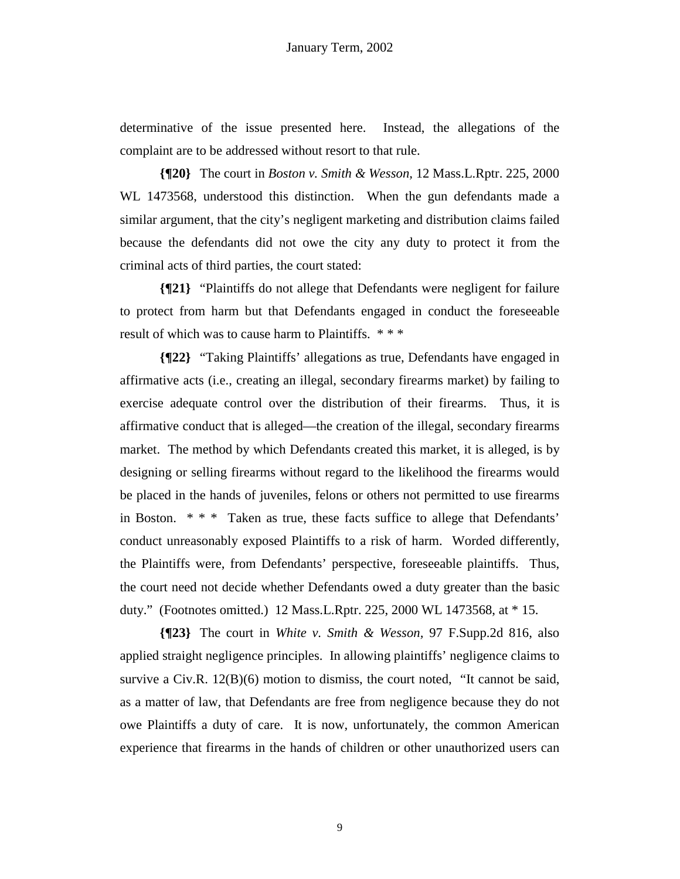determinative of the issue presented here. Instead, the allegations of the complaint are to be addressed without resort to that rule.

**{¶20}** The court in *Boston v. Smith & Wesson,* 12 Mass.L.Rptr. 225, 2000 WL 1473568, understood this distinction. When the gun defendants made a similar argument, that the city's negligent marketing and distribution claims failed because the defendants did not owe the city any duty to protect it from the criminal acts of third parties, the court stated:

**{¶21}** "Plaintiffs do not allege that Defendants were negligent for failure to protect from harm but that Defendants engaged in conduct the foreseeable result of which was to cause harm to Plaintiffs. \* \* \*

**{¶22}** "Taking Plaintiffs' allegations as true, Defendants have engaged in affirmative acts (i.e., creating an illegal, secondary firearms market) by failing to exercise adequate control over the distribution of their firearms. Thus, it is affirmative conduct that is alleged—the creation of the illegal, secondary firearms market. The method by which Defendants created this market, it is alleged, is by designing or selling firearms without regard to the likelihood the firearms would be placed in the hands of juveniles, felons or others not permitted to use firearms in Boston. \* \* \* Taken as true, these facts suffice to allege that Defendants' conduct unreasonably exposed Plaintiffs to a risk of harm. Worded differently, the Plaintiffs were, from Defendants' perspective, foreseeable plaintiffs. Thus, the court need not decide whether Defendants owed a duty greater than the basic duty." (Footnotes omitted.) 12 Mass.L.Rptr. 225, 2000 WL 1473568, at \* 15.

**{¶23}** The court in *White v. Smith & Wesson,* 97 F.Supp.2d 816, also applied straight negligence principles. In allowing plaintiffs' negligence claims to survive a Civ.R.  $12(B)(6)$  motion to dismiss, the court noted, "It cannot be said, as a matter of law, that Defendants are free from negligence because they do not owe Plaintiffs a duty of care. It is now, unfortunately, the common American experience that firearms in the hands of children or other unauthorized users can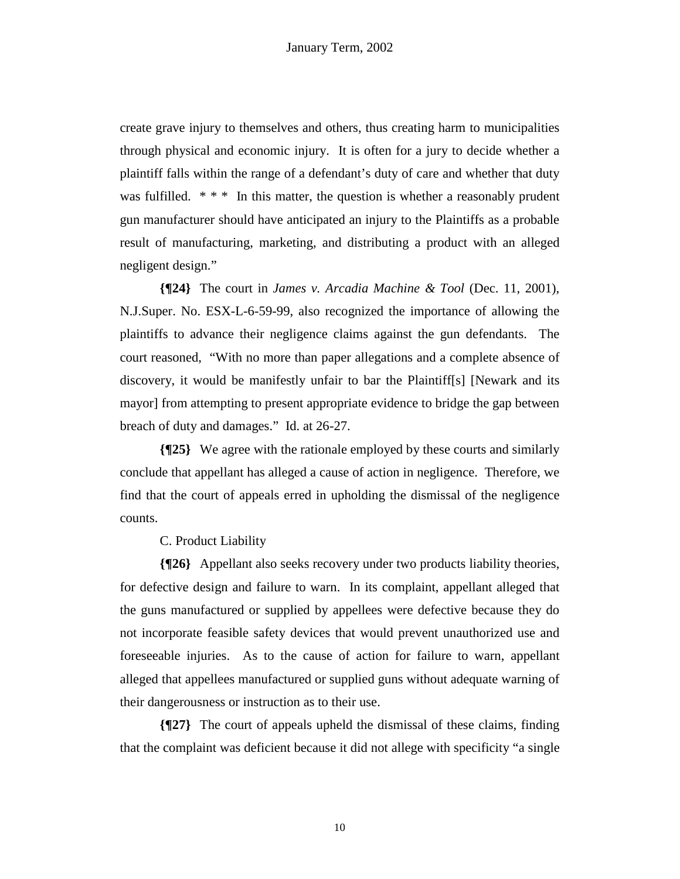create grave injury to themselves and others, thus creating harm to municipalities through physical and economic injury. It is often for a jury to decide whether a plaintiff falls within the range of a defendant's duty of care and whether that duty was fulfilled.  $**$  In this matter, the question is whether a reasonably prudent gun manufacturer should have anticipated an injury to the Plaintiffs as a probable result of manufacturing, marketing, and distributing a product with an alleged negligent design."

**{¶24}** The court in *James v. Arcadia Machine & Tool* (Dec. 11, 2001), N.J.Super. No. ESX-L-6-59-99, also recognized the importance of allowing the plaintiffs to advance their negligence claims against the gun defendants. The court reasoned, "With no more than paper allegations and a complete absence of discovery, it would be manifestly unfair to bar the Plaintiff[s] [Newark and its mayor] from attempting to present appropriate evidence to bridge the gap between breach of duty and damages." Id. at 26-27.

**{¶25}** We agree with the rationale employed by these courts and similarly conclude that appellant has alleged a cause of action in negligence. Therefore, we find that the court of appeals erred in upholding the dismissal of the negligence counts.

C. Product Liability

**{¶26}** Appellant also seeks recovery under two products liability theories, for defective design and failure to warn. In its complaint, appellant alleged that the guns manufactured or supplied by appellees were defective because they do not incorporate feasible safety devices that would prevent unauthorized use and foreseeable injuries. As to the cause of action for failure to warn, appellant alleged that appellees manufactured or supplied guns without adequate warning of their dangerousness or instruction as to their use.

**{¶27}** The court of appeals upheld the dismissal of these claims, finding that the complaint was deficient because it did not allege with specificity "a single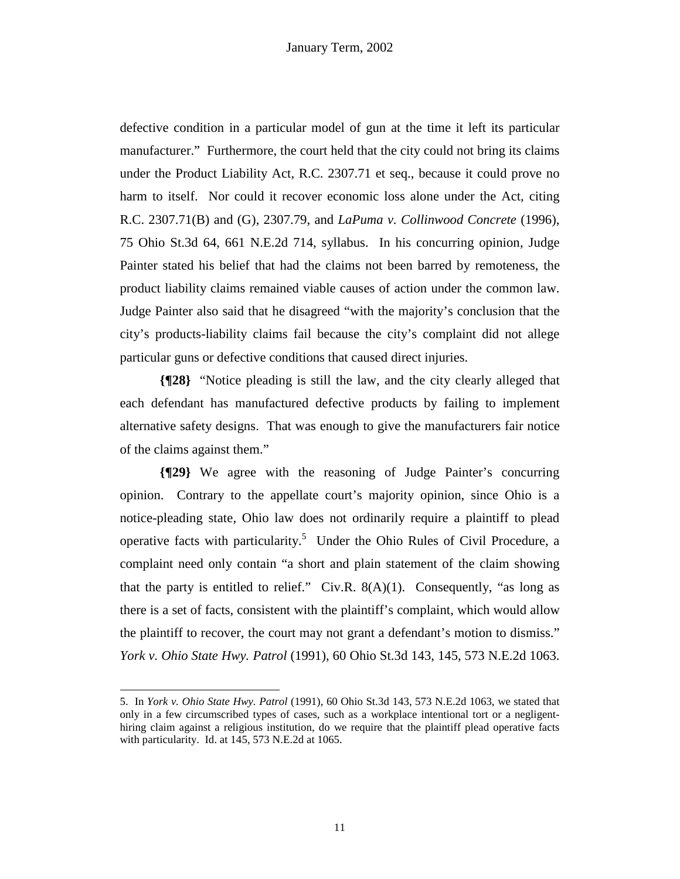defective condition in a particular model of gun at the time it left its particular manufacturer." Furthermore, the court held that the city could not bring its claims under the Product Liability Act, R.C. 2307.71 et seq., because it could prove no harm to itself. Nor could it recover economic loss alone under the Act, citing R.C. 2307.71(B) and (G), 2307.79, and *LaPuma v. Collinwood Concrete* (1996), 75 Ohio St.3d 64, 661 N.E.2d 714, syllabus. In his concurring opinion, Judge Painter stated his belief that had the claims not been barred by remoteness, the product liability claims remained viable causes of action under the common law. Judge Painter also said that he disagreed "with the majority's conclusion that the city's products-liability claims fail because the city's complaint did not allege particular guns or defective conditions that caused direct injuries.

**{¶28}** "Notice pleading is still the law, and the city clearly alleged that each defendant has manufactured defective products by failing to implement alternative safety designs. That was enough to give the manufacturers fair notice of the claims against them."

**{¶29}** We agree with the reasoning of Judge Painter's concurring opinion. Contrary to the appellate court's majority opinion, since Ohio is a notice-pleading state, Ohio law does not ordinarily require a plaintiff to plead operative facts with particularity.<sup>5</sup> Under the Ohio Rules of Civil Procedure, a complaint need only contain "a short and plain statement of the claim showing that the party is entitled to relief." Civ.R.  $8(A)(1)$ . Consequently, "as long as there is a set of facts, consistent with the plaintiff's complaint, which would allow the plaintiff to recover, the court may not grant a defendant's motion to dismiss." *York v. Ohio State Hwy. Patrol* (1991), 60 Ohio St.3d 143, 145, 573 N.E.2d 1063.

-

<sup>5.</sup> In *York v. Ohio State Hwy. Patrol* (1991), 60 Ohio St.3d 143, 573 N.E.2d 1063, we stated that only in a few circumscribed types of cases, such as a workplace intentional tort or a negligenthiring claim against a religious institution, do we require that the plaintiff plead operative facts with particularity. Id. at 145, 573 N.E.2d at 1065.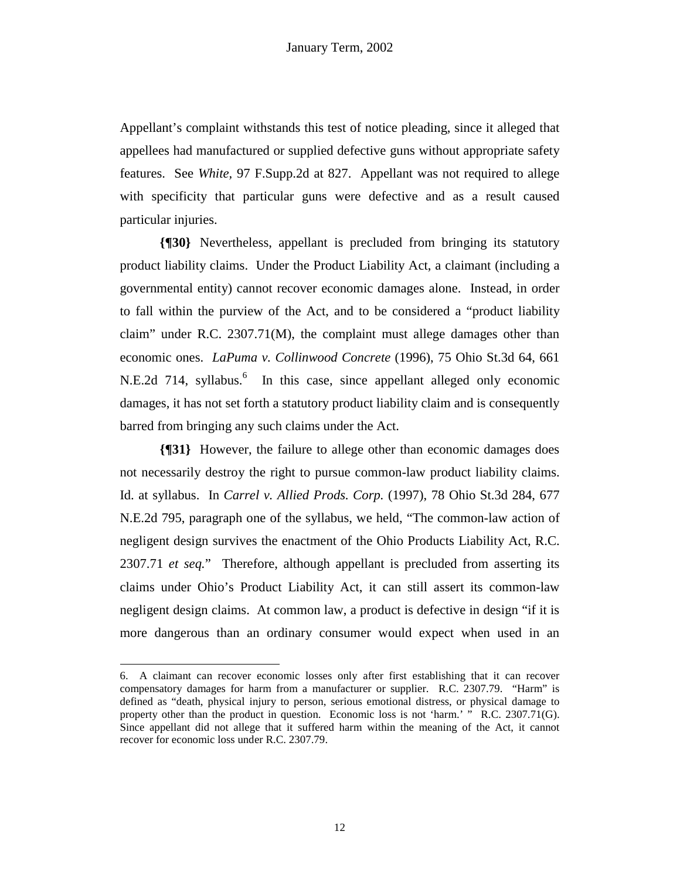Appellant's complaint withstands this test of notice pleading, since it alleged that appellees had manufactured or supplied defective guns without appropriate safety features. See *White,* 97 F.Supp.2d at 827. Appellant was not required to allege with specificity that particular guns were defective and as a result caused particular injuries.

**{¶30}** Nevertheless, appellant is precluded from bringing its statutory product liability claims. Under the Product Liability Act, a claimant (including a governmental entity) cannot recover economic damages alone. Instead, in order to fall within the purview of the Act, and to be considered a "product liability claim" under R.C. 2307.71(M), the complaint must allege damages other than economic ones. *LaPuma v. Collinwood Concrete* (1996), 75 Ohio St.3d 64, 661 N.E.2d 714, syllabus.<sup>6</sup> In this case, since appellant alleged only economic damages, it has not set forth a statutory product liability claim and is consequently barred from bringing any such claims under the Act.

**{¶31}** However, the failure to allege other than economic damages does not necessarily destroy the right to pursue common-law product liability claims. Id. at syllabus. In *Carrel v. Allied Prods. Corp.* (1997), 78 Ohio St.3d 284, 677 N.E.2d 795, paragraph one of the syllabus, we held, "The common-law action of negligent design survives the enactment of the Ohio Products Liability Act, R.C. 2307.71 *et seq.*"Therefore, although appellant is precluded from asserting its claims under Ohio's Product Liability Act, it can still assert its common-law negligent design claims. At common law, a product is defective in design "if it is more dangerous than an ordinary consumer would expect when used in an

1

<sup>6.</sup> A claimant can recover economic losses only after first establishing that it can recover compensatory damages for harm from a manufacturer or supplier. R.C. 2307.79. "Harm" is defined as "death, physical injury to person, serious emotional distress, or physical damage to property other than the product in question. Economic loss is not 'harm.' " R.C. 2307.71(G). Since appellant did not allege that it suffered harm within the meaning of the Act, it cannot recover for economic loss under R.C. 2307.79.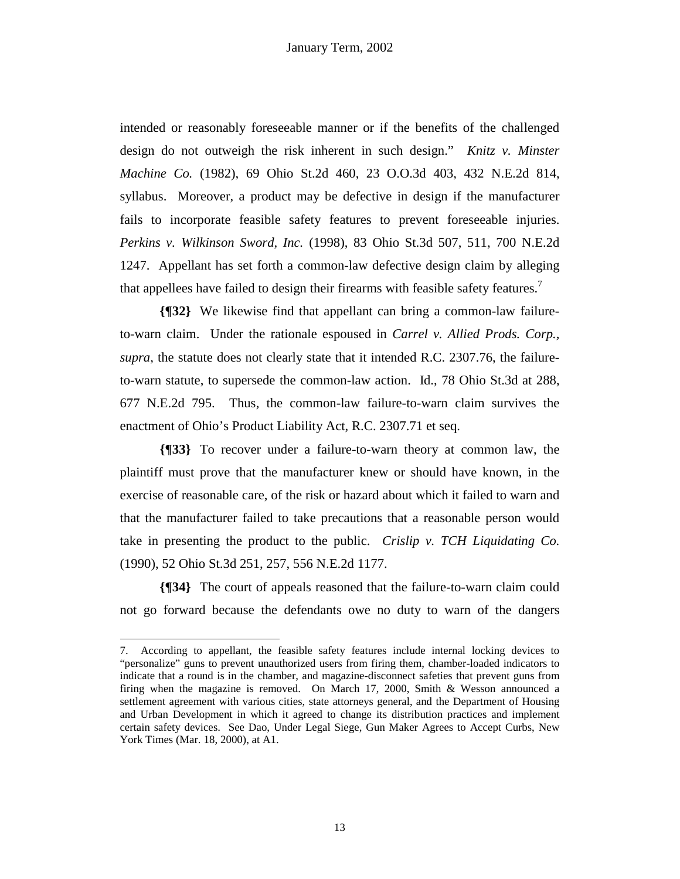intended or reasonably foreseeable manner or if the benefits of the challenged design do not outweigh the risk inherent in such design." *Knitz v. Minster Machine Co.* (1982), 69 Ohio St.2d 460, 23 O.O.3d 403, 432 N.E.2d 814, syllabus. Moreover, a product may be defective in design if the manufacturer fails to incorporate feasible safety features to prevent foreseeable injuries. *Perkins v. Wilkinson Sword, Inc.* (1998), 83 Ohio St.3d 507, 511, 700 N.E.2d 1247. Appellant has set forth a common-law defective design claim by alleging that appellees have failed to design their firearms with feasible safety features.<sup>7</sup>

**{¶32}** We likewise find that appellant can bring a common-law failureto-warn claim. Under the rationale espoused in *Carrel v. Allied Prods. Corp., supra*, the statute does not clearly state that it intended R.C. 2307.76, the failureto-warn statute, to supersede the common-law action. Id., 78 Ohio St.3d at 288, 677 N.E.2d 795. Thus, the common-law failure-to-warn claim survives the enactment of Ohio's Product Liability Act, R.C. 2307.71 et seq.

**{¶33}** To recover under a failure-to-warn theory at common law, the plaintiff must prove that the manufacturer knew or should have known, in the exercise of reasonable care, of the risk or hazard about which it failed to warn and that the manufacturer failed to take precautions that a reasonable person would take in presenting the product to the public. *Crislip v. TCH Liquidating Co.*  (1990), 52 Ohio St.3d 251, 257, 556 N.E.2d 1177.

**{¶34}** The court of appeals reasoned that the failure-to-warn claim could not go forward because the defendants owe no duty to warn of the dangers

1

<sup>7.</sup> According to appellant, the feasible safety features include internal locking devices to "personalize" guns to prevent unauthorized users from firing them, chamber-loaded indicators to indicate that a round is in the chamber, and magazine-disconnect safeties that prevent guns from firing when the magazine is removed. On March 17, 2000, Smith & Wesson announced a settlement agreement with various cities, state attorneys general, and the Department of Housing and Urban Development in which it agreed to change its distribution practices and implement certain safety devices. See Dao, Under Legal Siege, Gun Maker Agrees to Accept Curbs, New York Times (Mar. 18, 2000), at A1.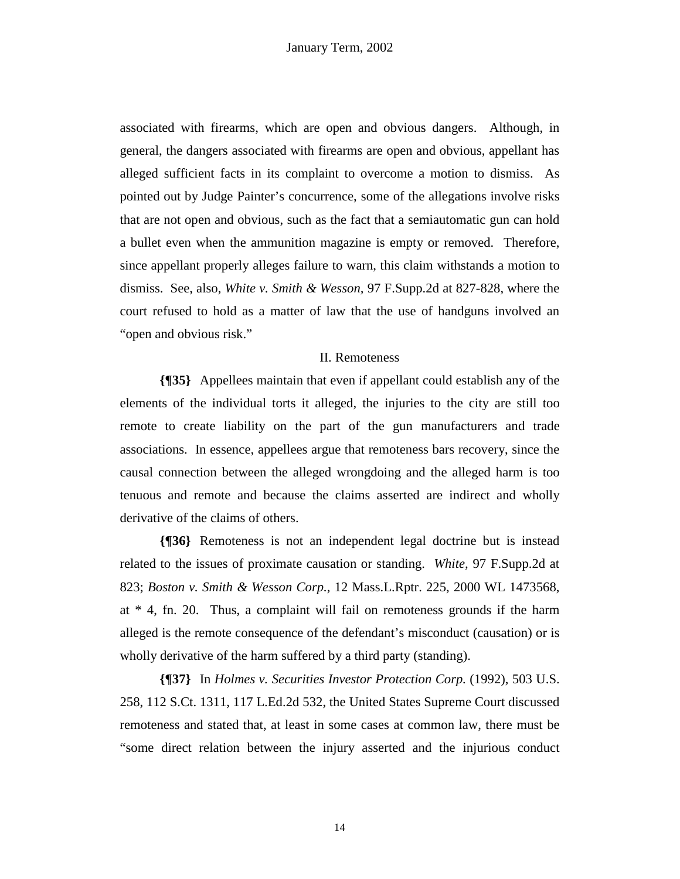associated with firearms, which are open and obvious dangers. Although, in general, the dangers associated with firearms are open and obvious, appellant has alleged sufficient facts in its complaint to overcome a motion to dismiss. As pointed out by Judge Painter's concurrence, some of the allegations involve risks that are not open and obvious, such as the fact that a semiautomatic gun can hold a bullet even when the ammunition magazine is empty or removed. Therefore, since appellant properly alleges failure to warn, this claim withstands a motion to dismiss. See, also, *White v. Smith & Wesson,* 97 F.Supp.2d at 827-828, where the court refused to hold as a matter of law that the use of handguns involved an "open and obvious risk."

# II. Remoteness

**{¶35}** Appellees maintain that even if appellant could establish any of the elements of the individual torts it alleged, the injuries to the city are still too remote to create liability on the part of the gun manufacturers and trade associations. In essence, appellees argue that remoteness bars recovery, since the causal connection between the alleged wrongdoing and the alleged harm is too tenuous and remote and because the claims asserted are indirect and wholly derivative of the claims of others.

**{¶36}** Remoteness is not an independent legal doctrine but is instead related to the issues of proximate causation or standing. *White,* 97 F.Supp.2d at 823; *Boston v. Smith & Wesson Corp.*, 12 Mass.L.Rptr. 225, 2000 WL 1473568, at \* 4, fn. 20. Thus, a complaint will fail on remoteness grounds if the harm alleged is the remote consequence of the defendant's misconduct (causation) or is wholly derivative of the harm suffered by a third party (standing).

**{¶37}** In *Holmes v. Securities Investor Protection Corp.* (1992), 503 U.S. 258, 112 S.Ct. 1311, 117 L.Ed.2d 532, the United States Supreme Court discussed remoteness and stated that, at least in some cases at common law, there must be "some direct relation between the injury asserted and the injurious conduct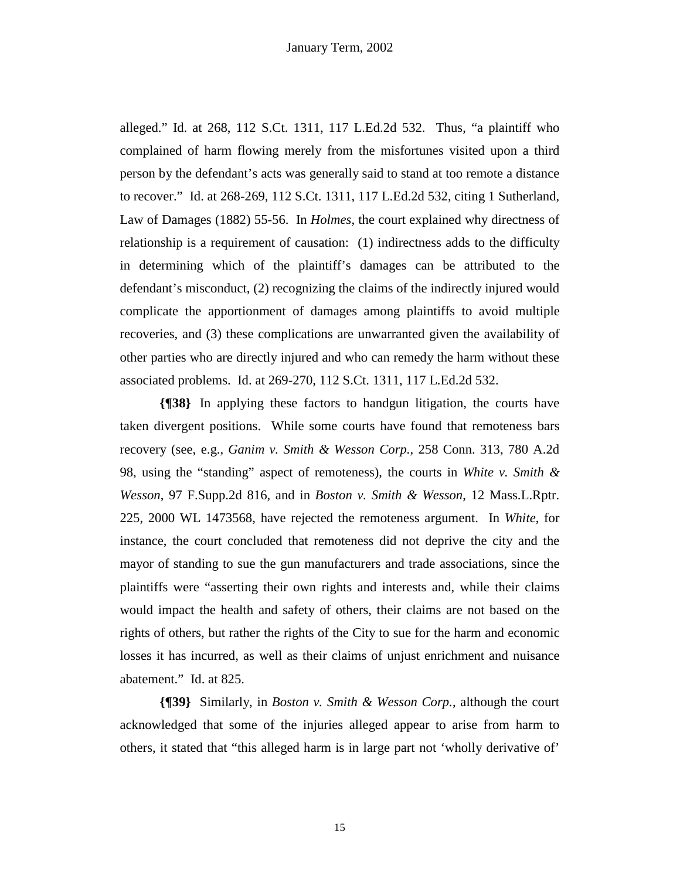alleged." Id. at 268, 112 S.Ct. 1311, 117 L.Ed.2d 532. Thus, "a plaintiff who complained of harm flowing merely from the misfortunes visited upon a third person by the defendant's acts was generally said to stand at too remote a distance to recover." Id. at 268-269, 112 S.Ct. 1311, 117 L.Ed.2d 532, citing 1 Sutherland, Law of Damages (1882) 55-56. In *Holmes*, the court explained why directness of relationship is a requirement of causation: (1) indirectness adds to the difficulty in determining which of the plaintiff's damages can be attributed to the defendant's misconduct, (2) recognizing the claims of the indirectly injured would complicate the apportionment of damages among plaintiffs to avoid multiple recoveries, and (3) these complications are unwarranted given the availability of other parties who are directly injured and who can remedy the harm without these associated problems. Id. at 269-270, 112 S.Ct. 1311, 117 L.Ed.2d 532.

**{¶38}** In applying these factors to handgun litigation, the courts have taken divergent positions. While some courts have found that remoteness bars recovery (see, e.g., *Ganim v. Smith & Wesson Corp.,* 258 Conn. 313, 780 A.2d 98, using the "standing" aspect of remoteness), the courts in *White v. Smith & Wesson*, 97 F.Supp.2d 816, and in *Boston v. Smith & Wesson*, 12 Mass.L.Rptr. 225, 2000 WL 1473568, have rejected the remoteness argument. In *White*, for instance, the court concluded that remoteness did not deprive the city and the mayor of standing to sue the gun manufacturers and trade associations, since the plaintiffs were "asserting their own rights and interests and, while their claims would impact the health and safety of others, their claims are not based on the rights of others, but rather the rights of the City to sue for the harm and economic losses it has incurred, as well as their claims of unjust enrichment and nuisance abatement." Id. at 825.

**{¶39}** Similarly, in *Boston v. Smith & Wesson Corp.*, although the court acknowledged that some of the injuries alleged appear to arise from harm to others, it stated that "this alleged harm is in large part not 'wholly derivative of'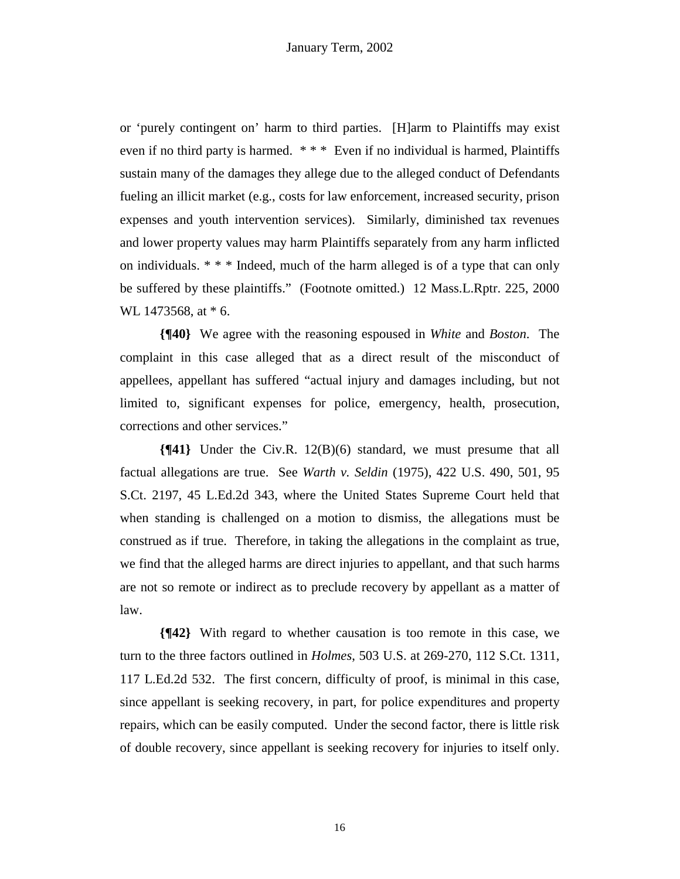or 'purely contingent on' harm to third parties. [H]arm to Plaintiffs may exist even if no third party is harmed. \* \* \* Even if no individual is harmed, Plaintiffs sustain many of the damages they allege due to the alleged conduct of Defendants fueling an illicit market (e.g., costs for law enforcement, increased security, prison expenses and youth intervention services). Similarly, diminished tax revenues and lower property values may harm Plaintiffs separately from any harm inflicted on individuals. \* \* \* Indeed, much of the harm alleged is of a type that can only be suffered by these plaintiffs." (Footnote omitted.) 12 Mass.L.Rptr. 225, 2000 WL 1473568, at  $*$  6.

**{¶40}** We agree with the reasoning espoused in *White* and *Boston*. The complaint in this case alleged that as a direct result of the misconduct of appellees, appellant has suffered "actual injury and damages including, but not limited to, significant expenses for police, emergency, health, prosecution, corrections and other services."

**{¶41}** Under the Civ.R. 12(B)(6) standard, we must presume that all factual allegations are true. See *Warth v. Seldin* (1975), 422 U.S. 490, 501, 95 S.Ct. 2197, 45 L.Ed.2d 343, where the United States Supreme Court held that when standing is challenged on a motion to dismiss, the allegations must be construed as if true. Therefore, in taking the allegations in the complaint as true, we find that the alleged harms are direct injuries to appellant, and that such harms are not so remote or indirect as to preclude recovery by appellant as a matter of law.

**{¶42}** With regard to whether causation is too remote in this case, we turn to the three factors outlined in *Holmes*, 503 U.S. at 269-270, 112 S.Ct. 1311, 117 L.Ed.2d 532. The first concern, difficulty of proof, is minimal in this case, since appellant is seeking recovery, in part, for police expenditures and property repairs, which can be easily computed. Under the second factor, there is little risk of double recovery, since appellant is seeking recovery for injuries to itself only.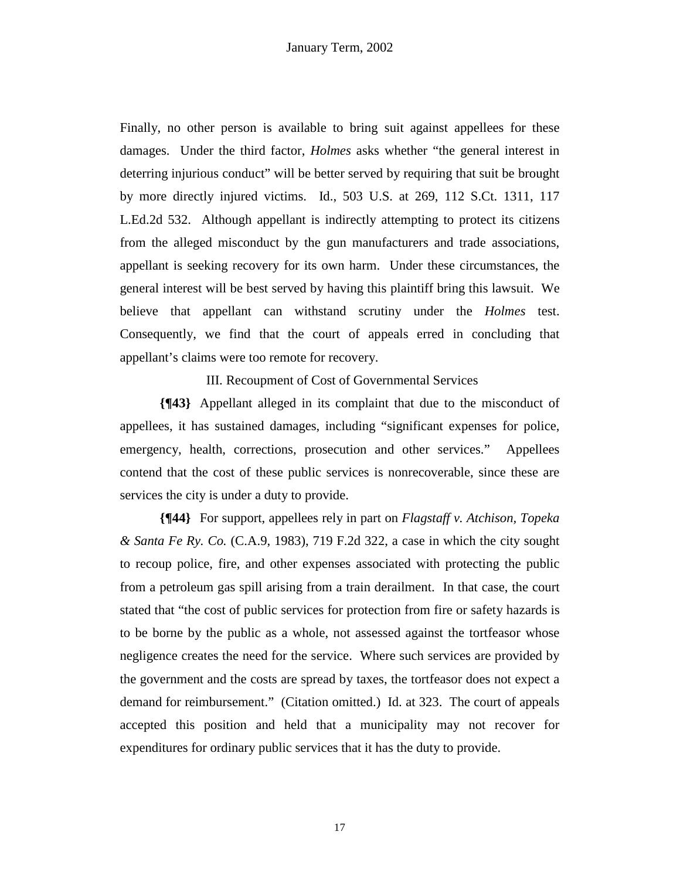Finally, no other person is available to bring suit against appellees for these damages. Under the third factor, *Holmes* asks whether "the general interest in deterring injurious conduct" will be better served by requiring that suit be brought by more directly injured victims. Id., 503 U.S. at 269, 112 S.Ct. 1311, 117 L.Ed.2d 532. Although appellant is indirectly attempting to protect its citizens from the alleged misconduct by the gun manufacturers and trade associations, appellant is seeking recovery for its own harm. Under these circumstances, the general interest will be best served by having this plaintiff bring this lawsuit. We believe that appellant can withstand scrutiny under the *Holmes* test. Consequently, we find that the court of appeals erred in concluding that appellant's claims were too remote for recovery.

III. Recoupment of Cost of Governmental Services

**{¶43}** Appellant alleged in its complaint that due to the misconduct of appellees, it has sustained damages, including "significant expenses for police, emergency, health, corrections, prosecution and other services." Appellees contend that the cost of these public services is nonrecoverable, since these are services the city is under a duty to provide.

**{¶44}** For support, appellees rely in part on *Flagstaff v. Atchison, Topeka & Santa Fe Ry. Co.* (C.A.9, 1983), 719 F.2d 322, a case in which the city sought to recoup police, fire, and other expenses associated with protecting the public from a petroleum gas spill arising from a train derailment. In that case, the court stated that "the cost of public services for protection from fire or safety hazards is to be borne by the public as a whole, not assessed against the tortfeasor whose negligence creates the need for the service. Where such services are provided by the government and the costs are spread by taxes, the tortfeasor does not expect a demand for reimbursement." (Citation omitted.) Id. at 323. The court of appeals accepted this position and held that a municipality may not recover for expenditures for ordinary public services that it has the duty to provide.

17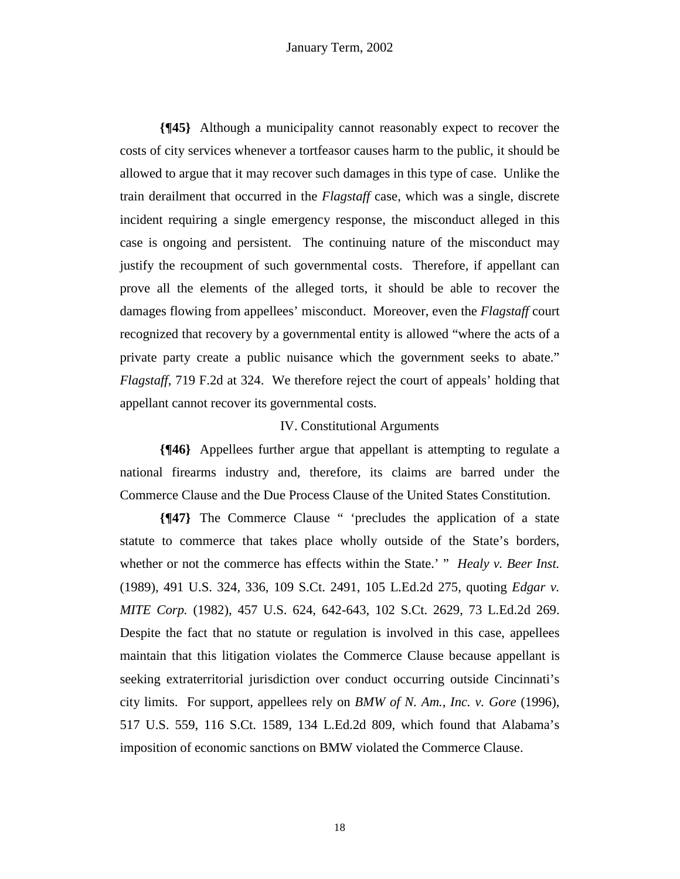**{¶45}** Although a municipality cannot reasonably expect to recover the costs of city services whenever a tortfeasor causes harm to the public, it should be allowed to argue that it may recover such damages in this type of case. Unlike the train derailment that occurred in the *Flagstaff* case, which was a single, discrete incident requiring a single emergency response, the misconduct alleged in this case is ongoing and persistent. The continuing nature of the misconduct may justify the recoupment of such governmental costs. Therefore, if appellant can prove all the elements of the alleged torts, it should be able to recover the damages flowing from appellees' misconduct. Moreover, even the *Flagstaff* court recognized that recovery by a governmental entity is allowed "where the acts of a private party create a public nuisance which the government seeks to abate." *Flagstaff*, 719 F.2d at 324. We therefore reject the court of appeals' holding that appellant cannot recover its governmental costs.

# IV. Constitutional Arguments

**{¶46}** Appellees further argue that appellant is attempting to regulate a national firearms industry and, therefore, its claims are barred under the Commerce Clause and the Due Process Clause of the United States Constitution.

**{¶47}** The Commerce Clause " 'precludes the application of a state statute to commerce that takes place wholly outside of the State's borders, whether or not the commerce has effects within the State.' " *Healy v. Beer Inst.* (1989), 491 U.S. 324*,* 336, 109 S.Ct. 2491, 105 L.Ed.2d 275, quoting *Edgar v. MITE Corp.* (1982), 457 U.S. 624, 642-643, 102 S.Ct. 2629, 73 L.Ed.2d 269. Despite the fact that no statute or regulation is involved in this case, appellees maintain that this litigation violates the Commerce Clause because appellant is seeking extraterritorial jurisdiction over conduct occurring outside Cincinnati's city limits. For support, appellees rely on *BMW of N. Am., Inc. v. Gore* (1996), 517 U.S. 559, 116 S.Ct. 1589, 134 L.Ed.2d 809, which found that Alabama's imposition of economic sanctions on BMW violated the Commerce Clause.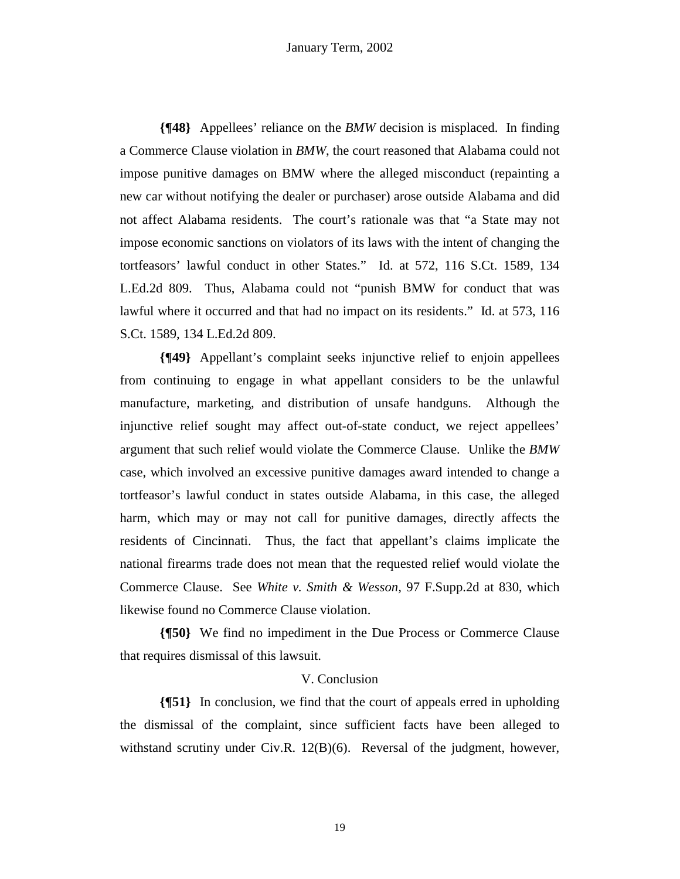**{¶48}** Appellees' reliance on the *BMW* decision is misplaced. In finding a Commerce Clause violation in *BMW*, the court reasoned that Alabama could not impose punitive damages on BMW where the alleged misconduct (repainting a new car without notifying the dealer or purchaser) arose outside Alabama and did not affect Alabama residents. The court's rationale was that "a State may not impose economic sanctions on violators of its laws with the intent of changing the tortfeasors' lawful conduct in other States." Id. at 572, 116 S.Ct. 1589, 134 L.Ed.2d 809. Thus, Alabama could not "punish BMW for conduct that was lawful where it occurred and that had no impact on its residents." Id. at 573, 116 S.Ct. 1589, 134 L.Ed.2d 809.

**{¶49}** Appellant's complaint seeks injunctive relief to enjoin appellees from continuing to engage in what appellant considers to be the unlawful manufacture, marketing, and distribution of unsafe handguns. Although the injunctive relief sought may affect out-of-state conduct, we reject appellees' argument that such relief would violate the Commerce Clause. Unlike the *BMW* case, which involved an excessive punitive damages award intended to change a tortfeasor's lawful conduct in states outside Alabama, in this case, the alleged harm, which may or may not call for punitive damages, directly affects the residents of Cincinnati. Thus, the fact that appellant's claims implicate the national firearms trade does not mean that the requested relief would violate the Commerce Clause. See *White v. Smith & Wesson,* 97 F.Supp.2d at 830, which likewise found no Commerce Clause violation.

**{¶50}** We find no impediment in the Due Process or Commerce Clause that requires dismissal of this lawsuit.

# V. Conclusion

**{¶51}** In conclusion, we find that the court of appeals erred in upholding the dismissal of the complaint, since sufficient facts have been alleged to withstand scrutiny under Civ.R. 12(B)(6). Reversal of the judgment, however,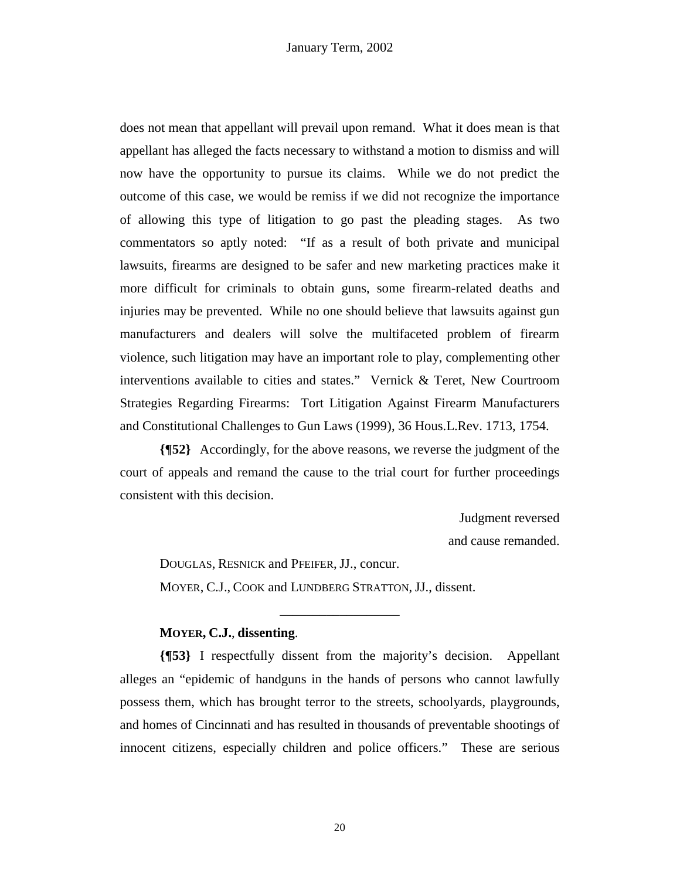does not mean that appellant will prevail upon remand. What it does mean is that appellant has alleged the facts necessary to withstand a motion to dismiss and will now have the opportunity to pursue its claims. While we do not predict the outcome of this case, we would be remiss if we did not recognize the importance of allowing this type of litigation to go past the pleading stages. As two commentators so aptly noted: "If as a result of both private and municipal lawsuits, firearms are designed to be safer and new marketing practices make it more difficult for criminals to obtain guns, some firearm-related deaths and injuries may be prevented. While no one should believe that lawsuits against gun manufacturers and dealers will solve the multifaceted problem of firearm violence, such litigation may have an important role to play, complementing other interventions available to cities and states." Vernick & Teret, New Courtroom Strategies Regarding Firearms: Tort Litigation Against Firearm Manufacturers and Constitutional Challenges to Gun Laws (1999), 36 Hous.L.Rev. 1713, 1754.

**{¶52}** Accordingly, for the above reasons, we reverse the judgment of the court of appeals and remand the cause to the trial court for further proceedings consistent with this decision.

> Judgment reversed and cause remanded.

 DOUGLAS, RESNICK and PFEIFER, JJ., concur. MOYER, C.J., COOK and LUNDBERG STRATTON, JJ., dissent.

# **MOYER, C.J.**, **dissenting**.

**{¶53}** I respectfully dissent from the majority's decision. Appellant alleges an "epidemic of handguns in the hands of persons who cannot lawfully possess them, which has brought terror to the streets, schoolyards, playgrounds, and homes of Cincinnati and has resulted in thousands of preventable shootings of innocent citizens, especially children and police officers." These are serious

\_\_\_\_\_\_\_\_\_\_\_\_\_\_\_\_\_\_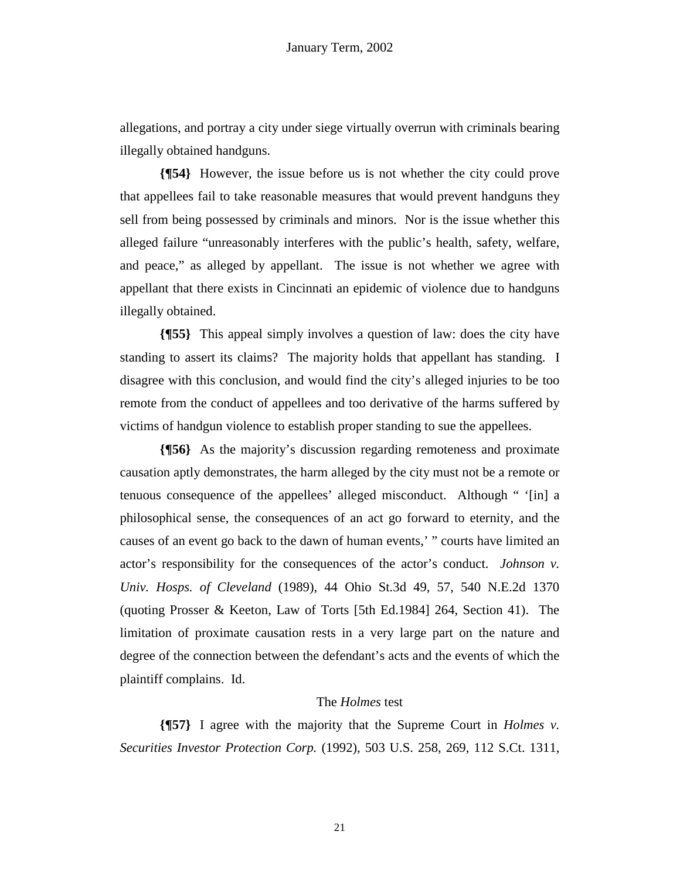allegations, and portray a city under siege virtually overrun with criminals bearing illegally obtained handguns.

**{¶54}** However, the issue before us is not whether the city could prove that appellees fail to take reasonable measures that would prevent handguns they sell from being possessed by criminals and minors. Nor is the issue whether this alleged failure "unreasonably interferes with the public's health, safety, welfare, and peace," as alleged by appellant. The issue is not whether we agree with appellant that there exists in Cincinnati an epidemic of violence due to handguns illegally obtained.

**{¶55}** This appeal simply involves a question of law: does the city have standing to assert its claims? The majority holds that appellant has standing. I disagree with this conclusion, and would find the city's alleged injuries to be too remote from the conduct of appellees and too derivative of the harms suffered by victims of handgun violence to establish proper standing to sue the appellees.

**{¶56}** As the majority's discussion regarding remoteness and proximate causation aptly demonstrates, the harm alleged by the city must not be a remote or tenuous consequence of the appellees' alleged misconduct. Although " '[in] a philosophical sense, the consequences of an act go forward to eternity, and the causes of an event go back to the dawn of human events,' " courts have limited an actor's responsibility for the consequences of the actor's conduct. *Johnson v. Univ. Hosps. of Cleveland* (1989), 44 Ohio St.3d 49, 57, 540 N.E.2d 1370 (quoting Prosser & Keeton, Law of Torts [5th Ed.1984] 264, Section 41). The limitation of proximate causation rests in a very large part on the nature and degree of the connection between the defendant's acts and the events of which the plaintiff complains. Id.

## The *Holmes* test

**{¶57}** I agree with the majority that the Supreme Court in *Holmes v. Securities Investor Protection Corp.* (1992), 503 U.S. 258, 269, 112 S.Ct. 1311,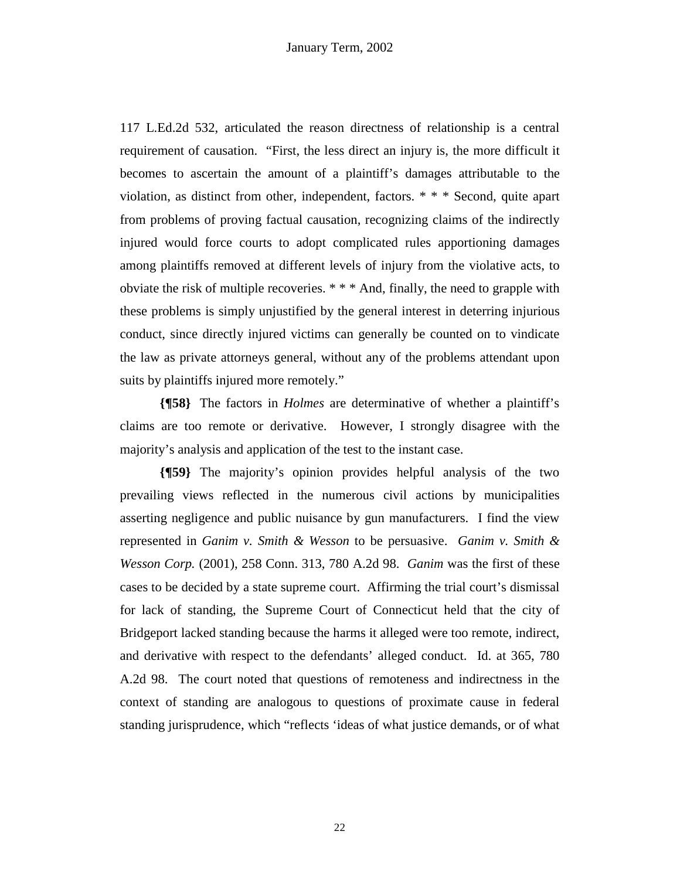117 L.Ed.2d 532, articulated the reason directness of relationship is a central requirement of causation. "First, the less direct an injury is, the more difficult it becomes to ascertain the amount of a plaintiff's damages attributable to the violation, as distinct from other, independent, factors. \* \* \* Second, quite apart from problems of proving factual causation, recognizing claims of the indirectly injured would force courts to adopt complicated rules apportioning damages among plaintiffs removed at different levels of injury from the violative acts, to obviate the risk of multiple recoveries. \* \* \* And, finally, the need to grapple with these problems is simply unjustified by the general interest in deterring injurious conduct, since directly injured victims can generally be counted on to vindicate the law as private attorneys general, without any of the problems attendant upon suits by plaintiffs injured more remotely."

**{¶58}** The factors in *Holmes* are determinative of whether a plaintiff's claims are too remote or derivative. However, I strongly disagree with the majority's analysis and application of the test to the instant case.

**{¶59}** The majority's opinion provides helpful analysis of the two prevailing views reflected in the numerous civil actions by municipalities asserting negligence and public nuisance by gun manufacturers. I find the view represented in *Ganim v. Smith & Wesson* to be persuasive. *Ganim v. Smith & Wesson Corp.* (2001), 258 Conn. 313, 780 A.2d 98. *Ganim* was the first of these cases to be decided by a state supreme court. Affirming the trial court's dismissal for lack of standing, the Supreme Court of Connecticut held that the city of Bridgeport lacked standing because the harms it alleged were too remote, indirect, and derivative with respect to the defendants' alleged conduct. Id. at 365, 780 A.2d 98. The court noted that questions of remoteness and indirectness in the context of standing are analogous to questions of proximate cause in federal standing jurisprudence, which "reflects 'ideas of what justice demands, or of what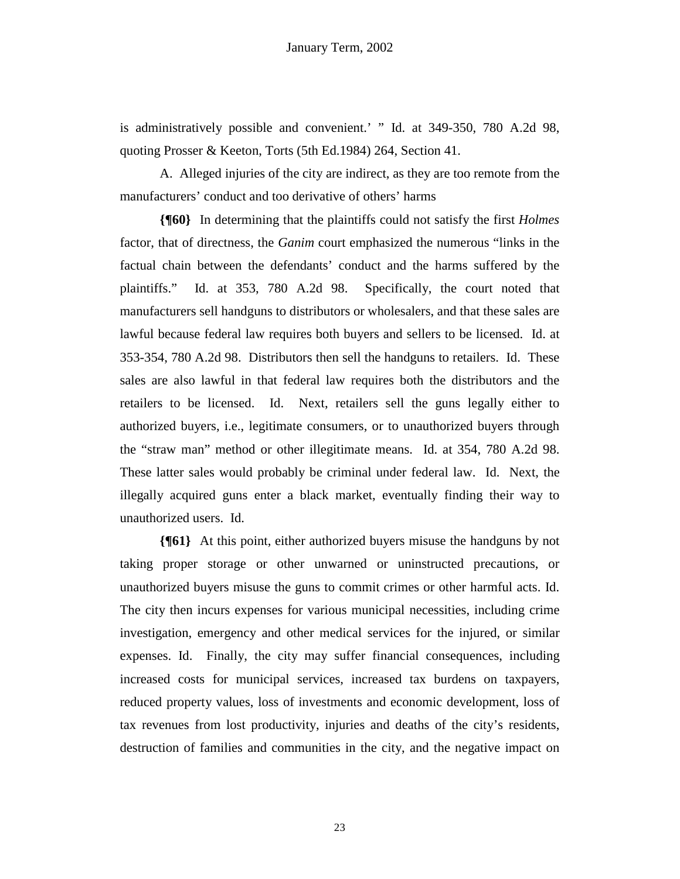is administratively possible and convenient.' " Id. at 349-350, 780 A.2d 98, quoting Prosser & Keeton, Torts (5th Ed.1984) 264, Section 41.

 A. Alleged injuries of the city are indirect, as they are too remote from the manufacturers' conduct and too derivative of others' harms

**{¶60}** In determining that the plaintiffs could not satisfy the first *Holmes* factor, that of directness, the *Ganim* court emphasized the numerous "links in the factual chain between the defendants' conduct and the harms suffered by the plaintiffs." Id. at 353, 780 A.2d 98. Specifically, the court noted that manufacturers sell handguns to distributors or wholesalers, and that these sales are lawful because federal law requires both buyers and sellers to be licensed. Id. at 353-354, 780 A.2d 98. Distributors then sell the handguns to retailers. Id. These sales are also lawful in that federal law requires both the distributors and the retailers to be licensed. Id. Next, retailers sell the guns legally either to authorized buyers, i.e., legitimate consumers, or to unauthorized buyers through the "straw man" method or other illegitimate means. Id. at 354, 780 A.2d 98. These latter sales would probably be criminal under federal law. Id. Next, the illegally acquired guns enter a black market, eventually finding their way to unauthorized users. Id.

**{¶61}** At this point, either authorized buyers misuse the handguns by not taking proper storage or other unwarned or uninstructed precautions, or unauthorized buyers misuse the guns to commit crimes or other harmful acts. Id. The city then incurs expenses for various municipal necessities, including crime investigation, emergency and other medical services for the injured, or similar expenses. Id. Finally, the city may suffer financial consequences, including increased costs for municipal services, increased tax burdens on taxpayers, reduced property values, loss of investments and economic development, loss of tax revenues from lost productivity, injuries and deaths of the city's residents, destruction of families and communities in the city, and the negative impact on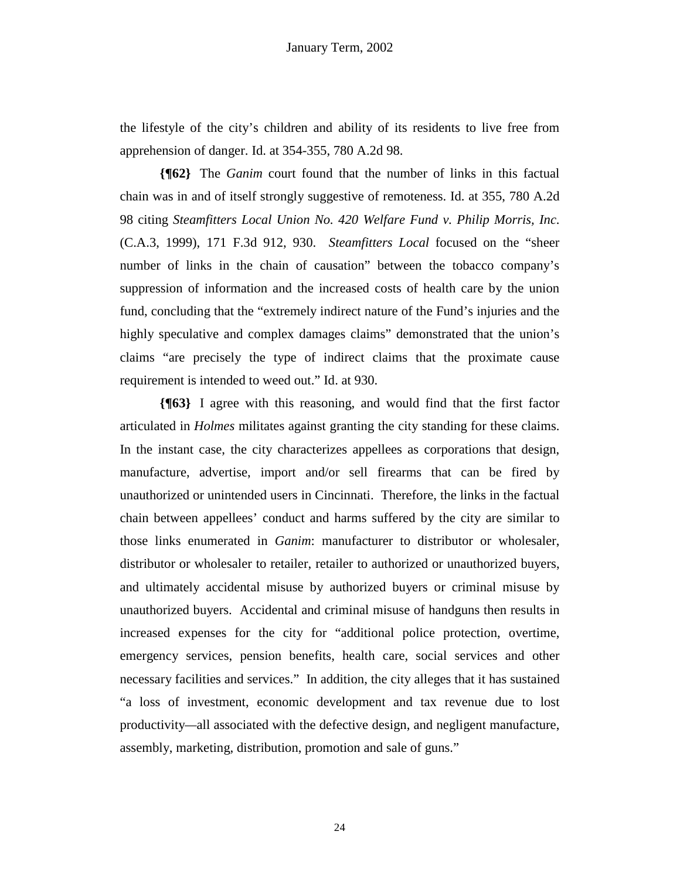the lifestyle of the city's children and ability of its residents to live free from apprehension of danger. Id. at 354-355, 780 A.2d 98.

**{¶62}** The *Ganim* court found that the number of links in this factual chain was in and of itself strongly suggestive of remoteness. Id. at 355, 780 A.2d 98 citing *Steamfitters Local Union No. 420 Welfare Fund v. Philip Morris, Inc*. (C.A.3, 1999), 171 F.3d 912, 930. *Steamfitters Local* focused on the "sheer number of links in the chain of causation" between the tobacco company's suppression of information and the increased costs of health care by the union fund, concluding that the "extremely indirect nature of the Fund's injuries and the highly speculative and complex damages claims" demonstrated that the union's claims "are precisely the type of indirect claims that the proximate cause requirement is intended to weed out." Id. at 930.

**{¶63}** I agree with this reasoning, and would find that the first factor articulated in *Holmes* militates against granting the city standing for these claims. In the instant case, the city characterizes appellees as corporations that design, manufacture, advertise, import and/or sell firearms that can be fired by unauthorized or unintended users in Cincinnati. Therefore, the links in the factual chain between appellees' conduct and harms suffered by the city are similar to those links enumerated in *Ganim*: manufacturer to distributor or wholesaler, distributor or wholesaler to retailer, retailer to authorized or unauthorized buyers, and ultimately accidental misuse by authorized buyers or criminal misuse by unauthorized buyers. Accidental and criminal misuse of handguns then results in increased expenses for the city for "additional police protection, overtime, emergency services, pension benefits, health care, social services and other necessary facilities and services." In addition, the city alleges that it has sustained "a loss of investment, economic development and tax revenue due to lost productivity*—*all associated with the defective design, and negligent manufacture, assembly, marketing, distribution, promotion and sale of guns."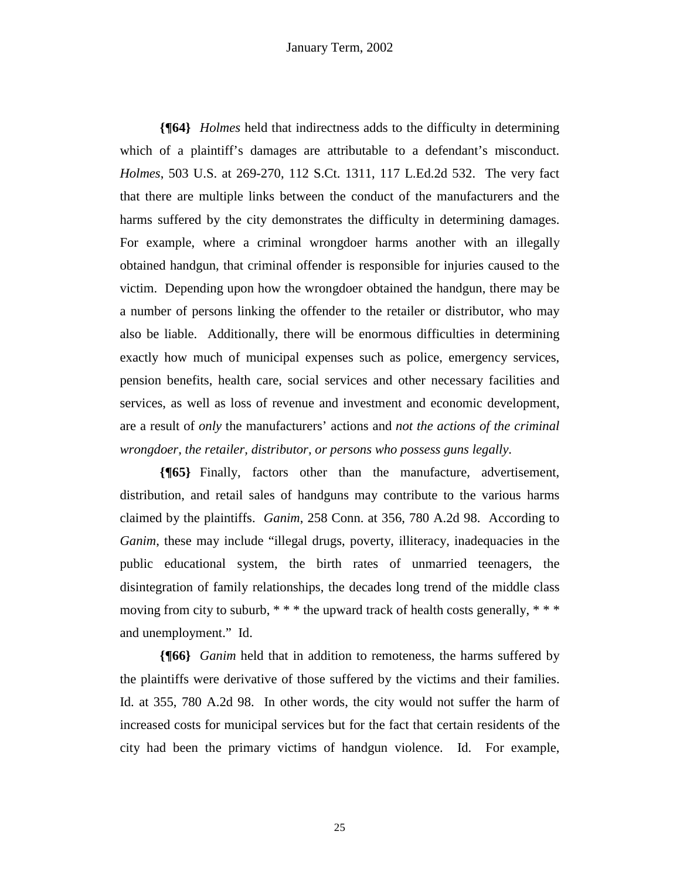### January Term, 2002

**{¶64}** *Holmes* held that indirectness adds to the difficulty in determining which of a plaintiff's damages are attributable to a defendant's misconduct. *Holmes*, 503 U.S. at 269-270, 112 S.Ct. 1311, 117 L.Ed.2d 532. The very fact that there are multiple links between the conduct of the manufacturers and the harms suffered by the city demonstrates the difficulty in determining damages. For example, where a criminal wrongdoer harms another with an illegally obtained handgun, that criminal offender is responsible for injuries caused to the victim. Depending upon how the wrongdoer obtained the handgun, there may be a number of persons linking the offender to the retailer or distributor, who may also be liable. Additionally, there will be enormous difficulties in determining exactly how much of municipal expenses such as police, emergency services, pension benefits, health care, social services and other necessary facilities and services, as well as loss of revenue and investment and economic development, are a result of *only* the manufacturers' actions and *not the actions of the criminal wrongdoer, the retailer, distributor, or persons who possess guns legally*.

**{¶65}** Finally, factors other than the manufacture, advertisement, distribution, and retail sales of handguns may contribute to the various harms claimed by the plaintiffs. *Ganim*, 258 Conn. at 356, 780 A.2d 98. According to *Ganim*, these may include "illegal drugs, poverty, illiteracy, inadequacies in the public educational system, the birth rates of unmarried teenagers, the disintegration of family relationships, the decades long trend of the middle class moving from city to suburb, \* \* \* the upward track of health costs generally, \* \* \* and unemployment." Id.

**{¶66}** *Ganim* held that in addition to remoteness, the harms suffered by the plaintiffs were derivative of those suffered by the victims and their families. Id. at 355, 780 A.2d 98. In other words, the city would not suffer the harm of increased costs for municipal services but for the fact that certain residents of the city had been the primary victims of handgun violence. Id. For example,

25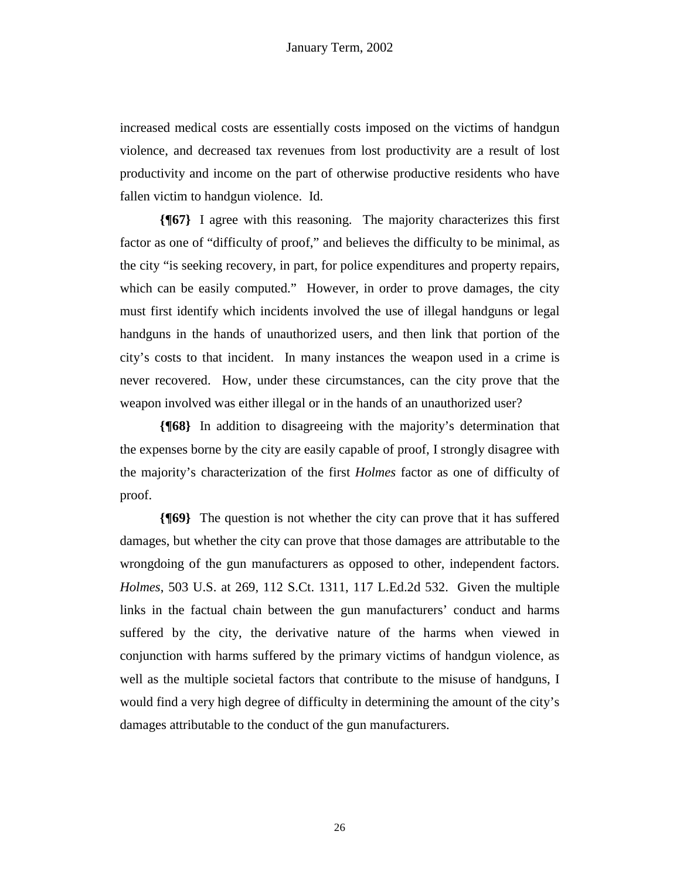increased medical costs are essentially costs imposed on the victims of handgun violence, and decreased tax revenues from lost productivity are a result of lost productivity and income on the part of otherwise productive residents who have fallen victim to handgun violence. Id.

**{¶67}** I agree with this reasoning. The majority characterizes this first factor as one of "difficulty of proof," and believes the difficulty to be minimal, as the city "is seeking recovery, in part, for police expenditures and property repairs, which can be easily computed." However, in order to prove damages, the city must first identify which incidents involved the use of illegal handguns or legal handguns in the hands of unauthorized users, and then link that portion of the city's costs to that incident. In many instances the weapon used in a crime is never recovered. How, under these circumstances, can the city prove that the weapon involved was either illegal or in the hands of an unauthorized user?

**{¶68}** In addition to disagreeing with the majority's determination that the expenses borne by the city are easily capable of proof, I strongly disagree with the majority's characterization of the first *Holmes* factor as one of difficulty of proof.

**{¶69}** The question is not whether the city can prove that it has suffered damages, but whether the city can prove that those damages are attributable to the wrongdoing of the gun manufacturers as opposed to other, independent factors. *Holmes*, 503 U.S. at 269, 112 S.Ct. 1311, 117 L.Ed.2d 532. Given the multiple links in the factual chain between the gun manufacturers' conduct and harms suffered by the city, the derivative nature of the harms when viewed in conjunction with harms suffered by the primary victims of handgun violence, as well as the multiple societal factors that contribute to the misuse of handguns, I would find a very high degree of difficulty in determining the amount of the city's damages attributable to the conduct of the gun manufacturers.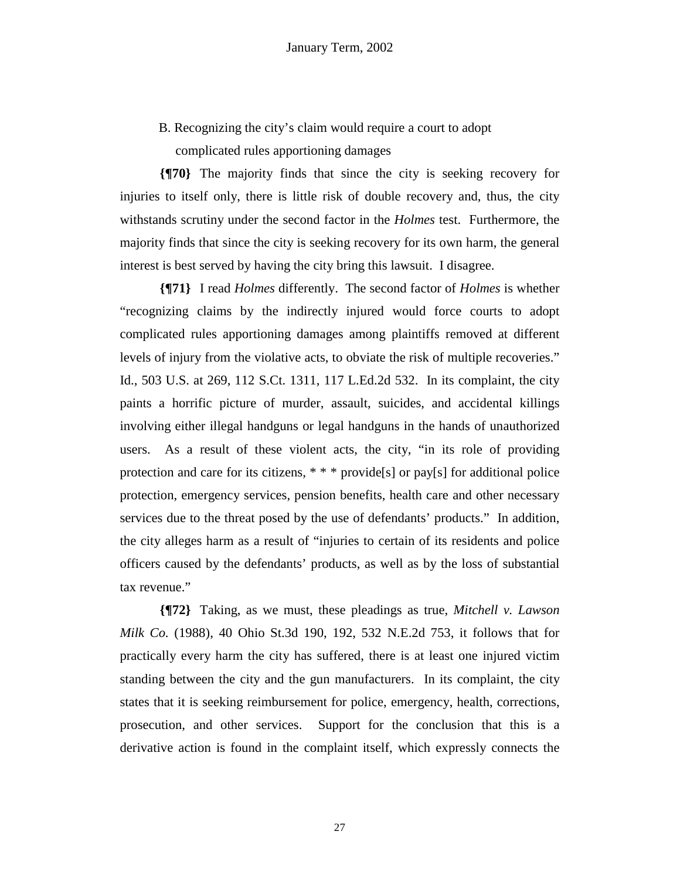B. Recognizing the city's claim would require a court to adopt complicated rules apportioning damages

**{¶70}** The majority finds that since the city is seeking recovery for injuries to itself only, there is little risk of double recovery and, thus, the city withstands scrutiny under the second factor in the *Holmes* test. Furthermore, the majority finds that since the city is seeking recovery for its own harm, the general interest is best served by having the city bring this lawsuit. I disagree.

**{¶71}** I read *Holmes* differently. The second factor of *Holmes* is whether "recognizing claims by the indirectly injured would force courts to adopt complicated rules apportioning damages among plaintiffs removed at different levels of injury from the violative acts, to obviate the risk of multiple recoveries." Id., 503 U.S. at 269, 112 S.Ct. 1311, 117 L.Ed.2d 532. In its complaint, the city paints a horrific picture of murder, assault, suicides, and accidental killings involving either illegal handguns or legal handguns in the hands of unauthorized users. As a result of these violent acts, the city, "in its role of providing protection and care for its citizens, \* \* \* provide[s] or pay[s] for additional police protection, emergency services, pension benefits, health care and other necessary services due to the threat posed by the use of defendants' products." In addition, the city alleges harm as a result of "injuries to certain of its residents and police officers caused by the defendants' products, as well as by the loss of substantial tax revenue."

**{¶72}** Taking, as we must, these pleadings as true, *Mitchell v. Lawson Milk Co.* (1988), 40 Ohio St.3d 190, 192, 532 N.E.2d 753, it follows that for practically every harm the city has suffered, there is at least one injured victim standing between the city and the gun manufacturers. In its complaint, the city states that it is seeking reimbursement for police, emergency, health, corrections, prosecution, and other services. Support for the conclusion that this is a derivative action is found in the complaint itself, which expressly connects the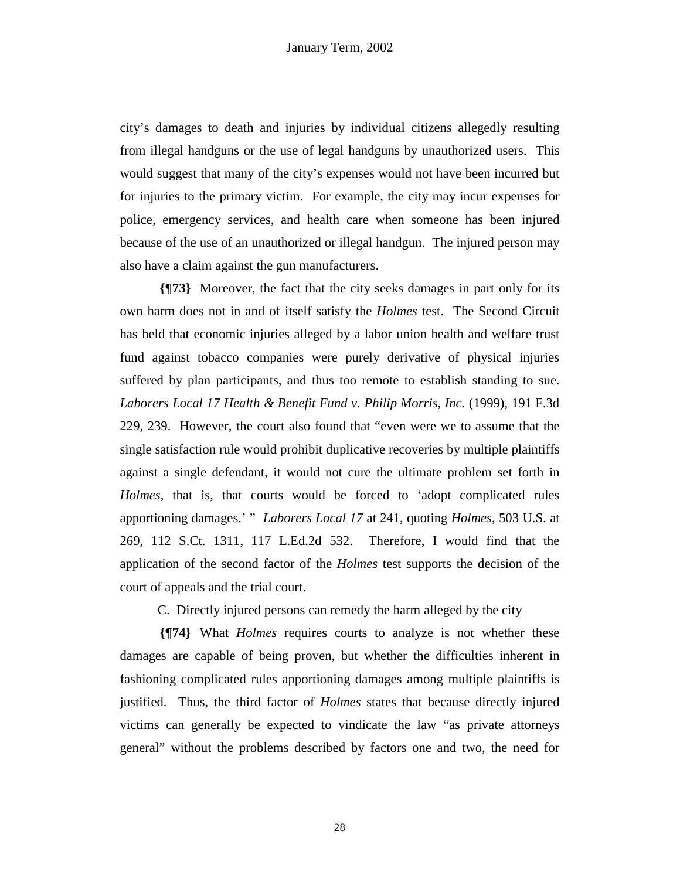city's damages to death and injuries by individual citizens allegedly resulting from illegal handguns or the use of legal handguns by unauthorized users. This would suggest that many of the city's expenses would not have been incurred but for injuries to the primary victim. For example, the city may incur expenses for police, emergency services, and health care when someone has been injured because of the use of an unauthorized or illegal handgun. The injured person may also have a claim against the gun manufacturers.

**{¶73}** Moreover, the fact that the city seeks damages in part only for its own harm does not in and of itself satisfy the *Holmes* test. The Second Circuit has held that economic injuries alleged by a labor union health and welfare trust fund against tobacco companies were purely derivative of physical injuries suffered by plan participants, and thus too remote to establish standing to sue. *Laborers Local 17 Health & Benefit Fund v. Philip Morris, Inc.* (1999), 191 F.3d 229, 239. However, the court also found that "even were we to assume that the single satisfaction rule would prohibit duplicative recoveries by multiple plaintiffs against a single defendant, it would not cure the ultimate problem set forth in *Holmes*, that is, that courts would be forced to 'adopt complicated rules apportioning damages.' " *Laborers Local 17* at 241, quoting *Holmes*, 503 U.S. at 269, 112 S.Ct. 1311, 117 L.Ed.2d 532. Therefore, I would find that the application of the second factor of the *Holmes* test supports the decision of the court of appeals and the trial court.

C. Directly injured persons can remedy the harm alleged by the city

**{¶74}** What *Holmes* requires courts to analyze is not whether these damages are capable of being proven, but whether the difficulties inherent in fashioning complicated rules apportioning damages among multiple plaintiffs is justified. Thus, the third factor of *Holmes* states that because directly injured victims can generally be expected to vindicate the law "as private attorneys general" without the problems described by factors one and two, the need for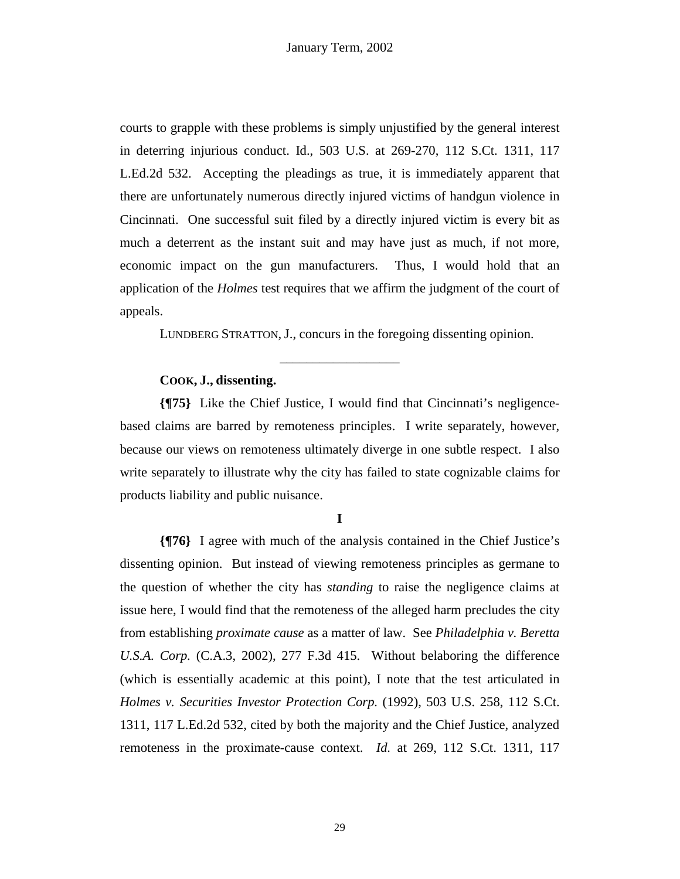courts to grapple with these problems is simply unjustified by the general interest in deterring injurious conduct. Id., 503 U.S. at 269-270, 112 S.Ct. 1311, 117 L.Ed.2d 532. Accepting the pleadings as true, it is immediately apparent that there are unfortunately numerous directly injured victims of handgun violence in Cincinnati. One successful suit filed by a directly injured victim is every bit as much a deterrent as the instant suit and may have just as much, if not more, economic impact on the gun manufacturers. Thus, I would hold that an application of the *Holmes* test requires that we affirm the judgment of the court of appeals.

LUNDBERG STRATTON, J., concurs in the foregoing dissenting opinion.

\_\_\_\_\_\_\_\_\_\_\_\_\_\_\_\_\_\_

# **COOK, J., dissenting.**

**{¶75}** Like the Chief Justice, I would find that Cincinnati's negligencebased claims are barred by remoteness principles. I write separately, however, because our views on remoteness ultimately diverge in one subtle respect. I also write separately to illustrate why the city has failed to state cognizable claims for products liability and public nuisance.

**I** 

**{¶76}** I agree with much of the analysis contained in the Chief Justice's dissenting opinion. But instead of viewing remoteness principles as germane to the question of whether the city has *standing* to raise the negligence claims at issue here, I would find that the remoteness of the alleged harm precludes the city from establishing *proximate cause* as a matter of law. See *Philadelphia v. Beretta U.S.A. Corp.* (C.A.3, 2002), 277 F.3d 415. Without belaboring the difference (which is essentially academic at this point), I note that the test articulated in *Holmes v. Securities Investor Protection Corp.* (1992), 503 U.S. 258, 112 S.Ct. 1311, 117 L.Ed.2d 532, cited by both the majority and the Chief Justice, analyzed remoteness in the proximate-cause context. *Id.* at 269, 112 S.Ct. 1311, 117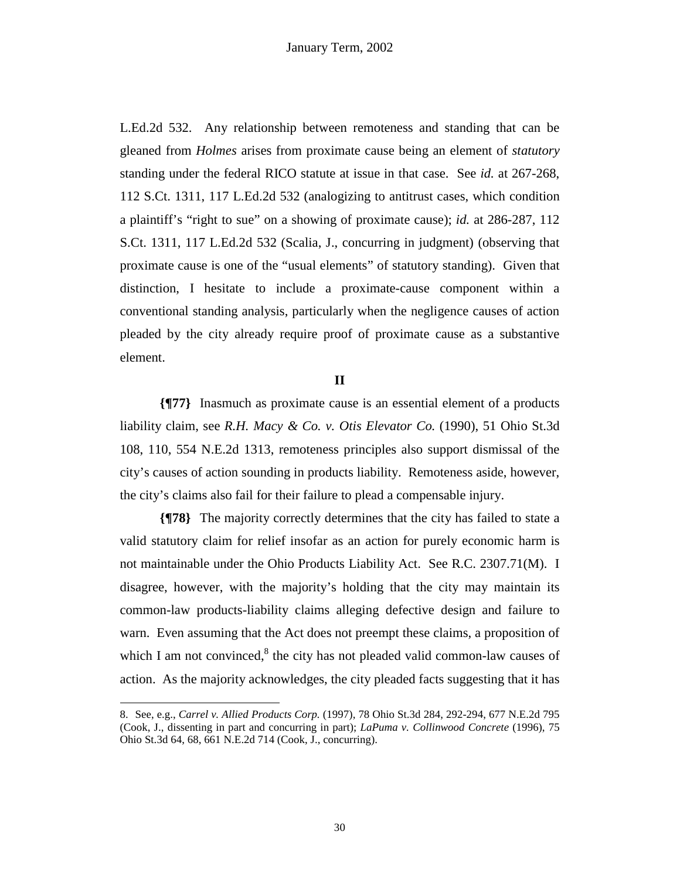L.Ed.2d 532. Any relationship between remoteness and standing that can be gleaned from *Holmes* arises from proximate cause being an element of *statutory*  standing under the federal RICO statute at issue in that case. See *id.* at 267-268, 112 S.Ct. 1311, 117 L.Ed.2d 532 (analogizing to antitrust cases, which condition a plaintiff's "right to sue" on a showing of proximate cause); *id.* at 286-287, 112 S.Ct. 1311, 117 L.Ed.2d 532 (Scalia, J., concurring in judgment) (observing that proximate cause is one of the "usual elements" of statutory standing). Given that distinction, I hesitate to include a proximate-cause component within a conventional standing analysis, particularly when the negligence causes of action pleaded by the city already require proof of proximate cause as a substantive element.

### **II**

**{¶77}** Inasmuch as proximate cause is an essential element of a products liability claim, see *R.H. Macy & Co. v. Otis Elevator Co.* (1990), 51 Ohio St.3d 108, 110, 554 N.E.2d 1313, remoteness principles also support dismissal of the city's causes of action sounding in products liability. Remoteness aside, however, the city's claims also fail for their failure to plead a compensable injury.

**{¶78}** The majority correctly determines that the city has failed to state a valid statutory claim for relief insofar as an action for purely economic harm is not maintainable under the Ohio Products Liability Act. See R.C. 2307.71(M). I disagree, however, with the majority's holding that the city may maintain its common-law products-liability claims alleging defective design and failure to warn. Even assuming that the Act does not preempt these claims, a proposition of which I am not convinced, $^8$  the city has not pleaded valid common-law causes of action. As the majority acknowledges, the city pleaded facts suggesting that it has

 $\overline{a}$ 

<sup>8.</sup> See, e.g., *Carrel v. Allied Products Corp.* (1997), 78 Ohio St.3d 284, 292-294, 677 N.E.2d 795 (Cook, J., dissenting in part and concurring in part); *LaPuma v. Collinwood Concrete* (1996), 75 Ohio St.3d 64, 68, 661 N.E.2d 714 (Cook, J., concurring).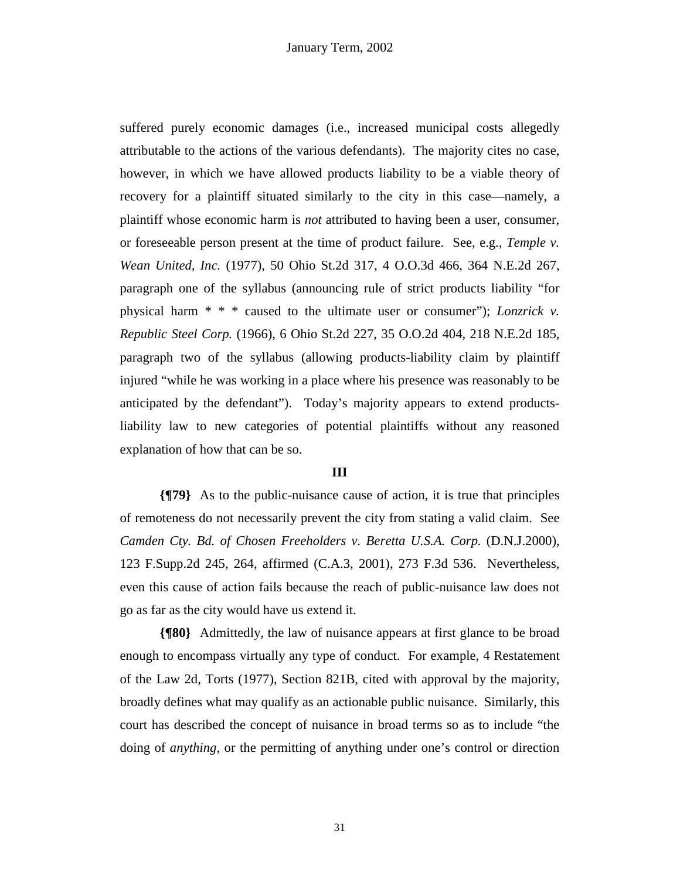suffered purely economic damages (i.e., increased municipal costs allegedly attributable to the actions of the various defendants). The majority cites no case, however, in which we have allowed products liability to be a viable theory of recovery for a plaintiff situated similarly to the city in this case—namely, a plaintiff whose economic harm is *not* attributed to having been a user, consumer, or foreseeable person present at the time of product failure. See, e.g., *Temple v. Wean United, Inc.* (1977), 50 Ohio St.2d 317, 4 O.O.3d 466, 364 N.E.2d 267, paragraph one of the syllabus (announcing rule of strict products liability "for physical harm \* \* \* caused to the ultimate user or consumer"); *Lonzrick v. Republic Steel Corp.* (1966), 6 Ohio St.2d 227, 35 O.O.2d 404, 218 N.E.2d 185, paragraph two of the syllabus (allowing products-liability claim by plaintiff injured "while he was working in a place where his presence was reasonably to be anticipated by the defendant"). Today's majority appears to extend productsliability law to new categories of potential plaintiffs without any reasoned explanation of how that can be so.

#### **III**

**{¶79}** As to the public-nuisance cause of action, it is true that principles of remoteness do not necessarily prevent the city from stating a valid claim. See *Camden Cty. Bd. of Chosen Freeholders v. Beretta U.S.A. Corp.* (D.N.J.2000), 123 F.Supp.2d 245, 264, affirmed (C.A.3, 2001), 273 F.3d 536. Nevertheless, even this cause of action fails because the reach of public-nuisance law does not go as far as the city would have us extend it.

**{¶80}** Admittedly, the law of nuisance appears at first glance to be broad enough to encompass virtually any type of conduct. For example, 4 Restatement of the Law 2d, Torts (1977), Section 821B, cited with approval by the majority, broadly defines what may qualify as an actionable public nuisance. Similarly, this court has described the concept of nuisance in broad terms so as to include "the doing of *anything*, or the permitting of anything under one's control or direction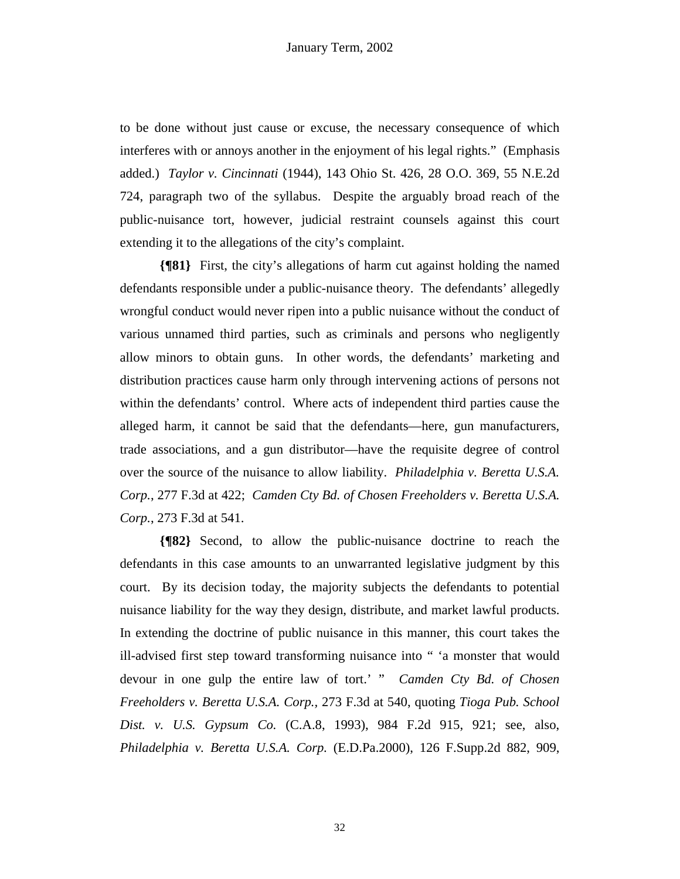to be done without just cause or excuse, the necessary consequence of which interferes with or annoys another in the enjoyment of his legal rights." (Emphasis added.) *Taylor v. Cincinnati* (1944), 143 Ohio St. 426, 28 O.O. 369, 55 N.E.2d 724, paragraph two of the syllabus. Despite the arguably broad reach of the public-nuisance tort, however, judicial restraint counsels against this court extending it to the allegations of the city's complaint.

**{¶81}** First, the city's allegations of harm cut against holding the named defendants responsible under a public-nuisance theory. The defendants' allegedly wrongful conduct would never ripen into a public nuisance without the conduct of various unnamed third parties, such as criminals and persons who negligently allow minors to obtain guns. In other words, the defendants' marketing and distribution practices cause harm only through intervening actions of persons not within the defendants' control. Where acts of independent third parties cause the alleged harm, it cannot be said that the defendants—here, gun manufacturers, trade associations, and a gun distributor—have the requisite degree of control over the source of the nuisance to allow liability. *Philadelphia v. Beretta U.S.A. Corp.*, 277 F.3d at 422; *Camden Cty Bd. of Chosen Freeholders v. Beretta U.S.A. Corp.*, 273 F.3d at 541.

**{¶82}** Second, to allow the public-nuisance doctrine to reach the defendants in this case amounts to an unwarranted legislative judgment by this court. By its decision today, the majority subjects the defendants to potential nuisance liability for the way they design, distribute, and market lawful products. In extending the doctrine of public nuisance in this manner, this court takes the ill-advised first step toward transforming nuisance into " 'a monster that would devour in one gulp the entire law of tort.' " *Camden Cty Bd. of Chosen Freeholders v. Beretta U.S.A. Corp.,* 273 F.3d at 540, quoting *Tioga Pub. School Dist. v. U.S. Gypsum Co.* (C.A.8, 1993), 984 F.2d 915, 921; see, also, *Philadelphia v. Beretta U.S.A. Corp.* (E.D.Pa.2000), 126 F.Supp.2d 882, 909,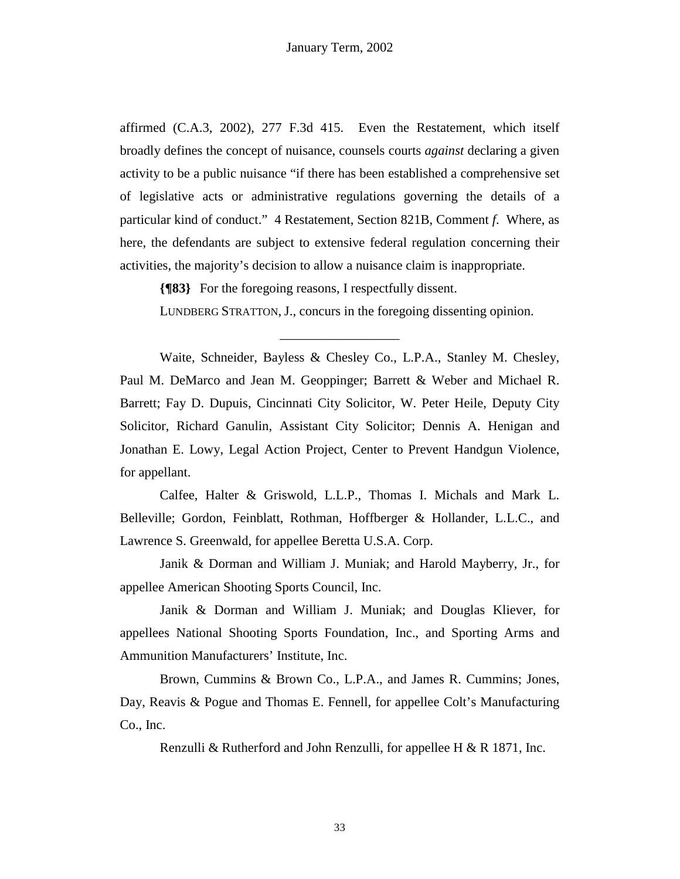affirmed (C.A.3, 2002), 277 F.3d 415. Even the Restatement, which itself broadly defines the concept of nuisance, counsels courts *against* declaring a given activity to be a public nuisance "if there has been established a comprehensive set of legislative acts or administrative regulations governing the details of a particular kind of conduct." 4 Restatement, Section 821B, Comment *f*. Where, as here, the defendants are subject to extensive federal regulation concerning their activities, the majority's decision to allow a nuisance claim is inappropriate.

**{¶83}** For the foregoing reasons, I respectfully dissent.

LUNDBERG STRATTON, J., concurs in the foregoing dissenting opinion.

\_\_\_\_\_\_\_\_\_\_\_\_\_\_\_\_\_\_

 Waite, Schneider, Bayless & Chesley Co., L.P.A., Stanley M. Chesley, Paul M. DeMarco and Jean M. Geoppinger; Barrett & Weber and Michael R. Barrett; Fay D. Dupuis, Cincinnati City Solicitor, W. Peter Heile, Deputy City Solicitor, Richard Ganulin, Assistant City Solicitor; Dennis A. Henigan and Jonathan E. Lowy, Legal Action Project, Center to Prevent Handgun Violence, for appellant.

 Calfee, Halter & Griswold, L.L.P., Thomas I. Michals and Mark L. Belleville; Gordon, Feinblatt, Rothman, Hoffberger & Hollander, L.L.C., and Lawrence S. Greenwald, for appellee Beretta U.S.A. Corp.

Janik & Dorman and William J. Muniak; and Harold Mayberry, Jr., for appellee American Shooting Sports Council, Inc.

 Janik & Dorman and William J. Muniak; and Douglas Kliever, for appellees National Shooting Sports Foundation, Inc., and Sporting Arms and Ammunition Manufacturers' Institute, Inc.

 Brown, Cummins & Brown Co., L.P.A., and James R. Cummins; Jones, Day, Reavis & Pogue and Thomas E. Fennell, for appellee Colt's Manufacturing Co., Inc.

Renzulli & Rutherford and John Renzulli, for appellee H & R 1871, Inc.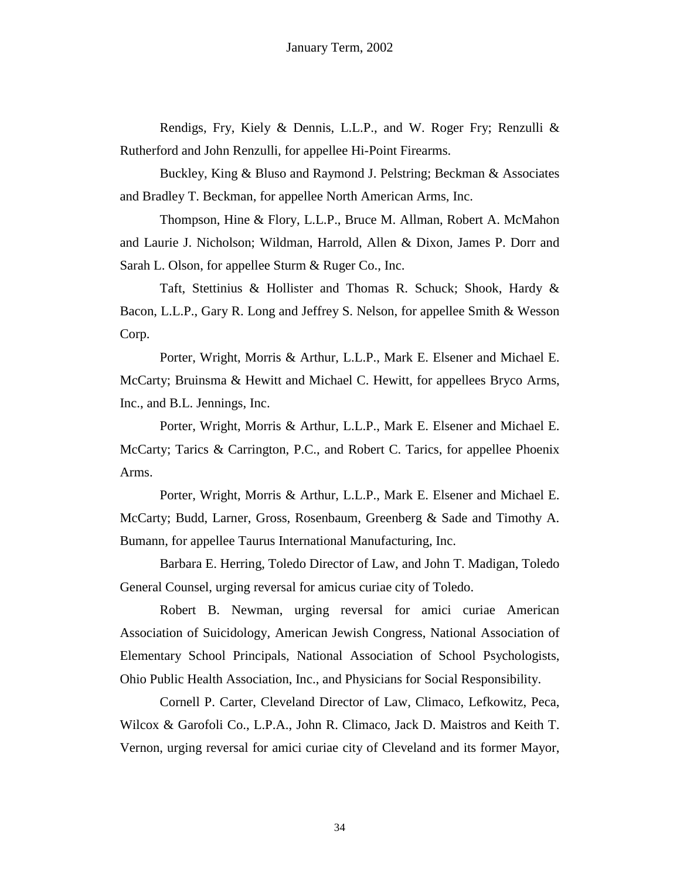Rendigs, Fry, Kiely & Dennis, L.L.P., and W. Roger Fry; Renzulli & Rutherford and John Renzulli, for appellee Hi-Point Firearms.

Buckley, King & Bluso and Raymond J. Pelstring; Beckman & Associates and Bradley T. Beckman, for appellee North American Arms, Inc.

Thompson, Hine & Flory, L.L.P., Bruce M. Allman, Robert A. McMahon and Laurie J. Nicholson; Wildman, Harrold, Allen & Dixon, James P. Dorr and Sarah L. Olson, for appellee Sturm & Ruger Co., Inc.

 Taft, Stettinius & Hollister and Thomas R. Schuck; Shook, Hardy & Bacon, L.L.P., Gary R. Long and Jeffrey S. Nelson, for appellee Smith & Wesson Corp.

 Porter, Wright, Morris & Arthur, L.L.P., Mark E. Elsener and Michael E. McCarty; Bruinsma & Hewitt and Michael C. Hewitt, for appellees Bryco Arms, Inc., and B.L. Jennings, Inc.

 Porter, Wright, Morris & Arthur, L.L.P., Mark E. Elsener and Michael E. McCarty; Tarics & Carrington, P.C., and Robert C. Tarics, for appellee Phoenix Arms.

 Porter, Wright, Morris & Arthur, L.L.P., Mark E. Elsener and Michael E. McCarty; Budd, Larner, Gross, Rosenbaum, Greenberg & Sade and Timothy A. Bumann, for appellee Taurus International Manufacturing, Inc.

 Barbara E. Herring, Toledo Director of Law, and John T. Madigan, Toledo General Counsel, urging reversal for amicus curiae city of Toledo.

Robert B. Newman, urging reversal for amici curiae American Association of Suicidology, American Jewish Congress, National Association of Elementary School Principals, National Association of School Psychologists, Ohio Public Health Association, Inc., and Physicians for Social Responsibility.

 Cornell P. Carter, Cleveland Director of Law, Climaco, Lefkowitz, Peca, Wilcox & Garofoli Co., L.P.A., John R. Climaco, Jack D. Maistros and Keith T. Vernon, urging reversal for amici curiae city of Cleveland and its former Mayor,